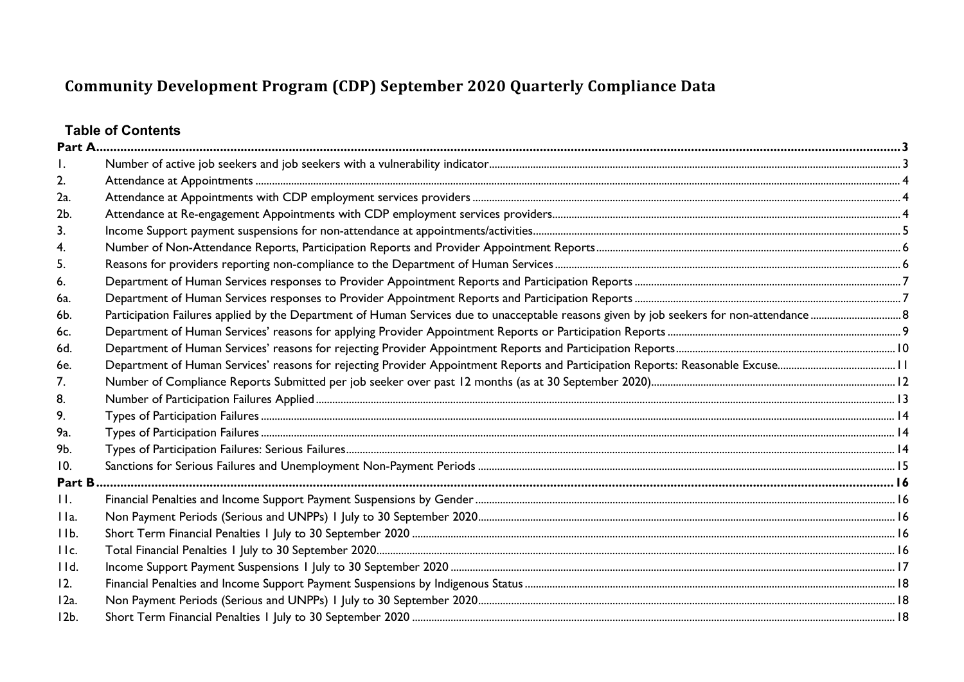# **Table of Contents**

| 2.              |  |
|-----------------|--|
| 2a.             |  |
| 2b.             |  |
| 3.              |  |
| 4.              |  |
| 5.              |  |
| 6.              |  |
| 6a.             |  |
| 6b.             |  |
| 6c.             |  |
| 6d.             |  |
| 6e.             |  |
| 7.              |  |
| 8.              |  |
| 9.              |  |
| 9a.             |  |
| 9b.             |  |
| 10.             |  |
| Part B          |  |
| H.              |  |
| IIa.            |  |
| IIb.            |  |
| IIc.            |  |
| 11d.            |  |
| 12.             |  |
| $12a$ .         |  |
| 12 <sub>b</sub> |  |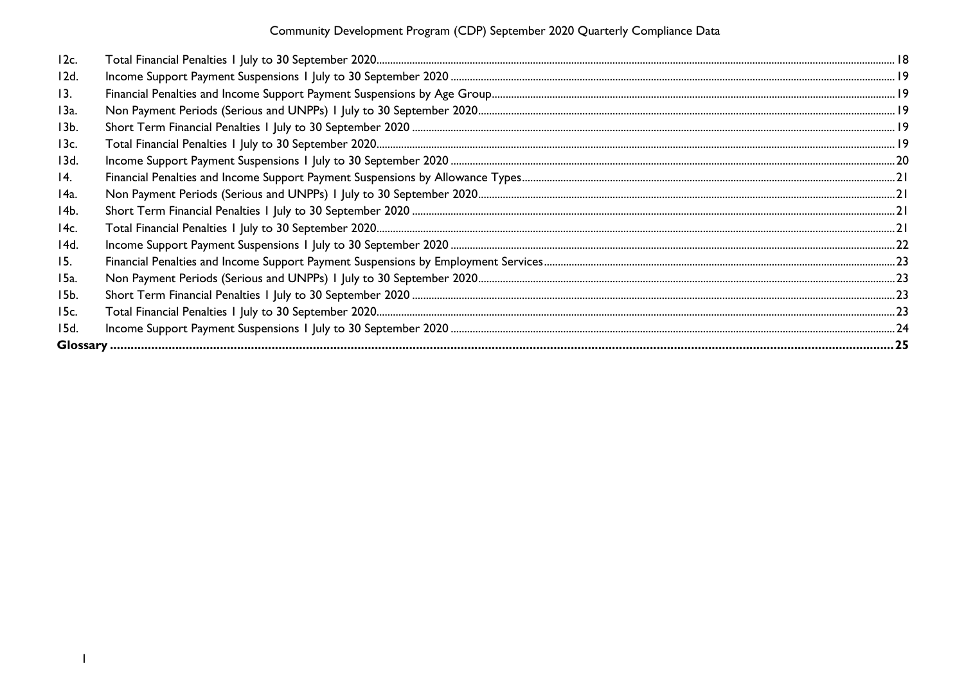| 12c.       |  |
|------------|--|
| 12d.       |  |
| 13.        |  |
| 13a.       |  |
| 13b.       |  |
| 13c.       |  |
| 13d.       |  |
| 14.        |  |
| 14a.       |  |
| 14b.       |  |
| 14c.       |  |
| 14d.       |  |
| <b>15.</b> |  |
| 15a.       |  |
| 15b.       |  |
| 15c.       |  |
| 15d.       |  |
|            |  |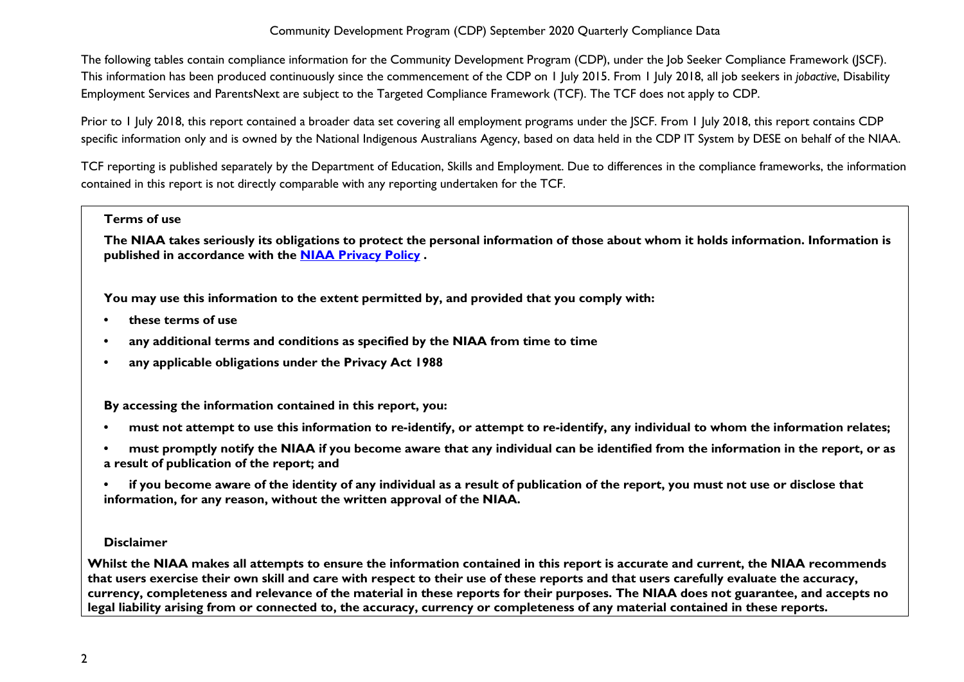The following tables contain compliance information for the Community Development Program (CDP), under the Job Seeker Compliance Framework (JSCF). This information has been produced continuously since the commencement of the CDP on 1 July 2015. From 1 July 2018, all job seekers in *jobactive*, Disability Employment Services and ParentsNext are subject to the Targeted Compliance Framework (TCF). The TCF does not apply to CDP.

Prior to 1 July 2018, this report contained a broader data set covering all employment programs under the JSCF. From 1 July 2018, this report contains CDP specific information only and is owned by the National Indigenous Australians Agency, based on data held in the CDP IT System by DESE on behalf of the NIAA.

TCF reporting is published separately by the Department of Education, Skills and Employment. Due to differences in the compliance frameworks, the information contained in this report is not directly comparable with any reporting undertaken for the TCF.

#### **Terms of use**

**The NIAA takes seriously its obligations to protect the personal information of those about whom it holds information. Information is published in accordance with the [NIAA Privacy Policy](https://www.niaa.gov.au/pmc/who-we-are/accountability-and-reporting/privacy-policy) .** 

**You may use this information to the extent permitted by, and provided that you comply with:**

- **• these terms of use**
- **• any additional terms and conditions as specified by the NIAA from time to time**
- **• any applicable obligations under the Privacy Act 1988**

**By accessing the information contained in this report, you:** 

- **• must not attempt to use this information to re-identify, or attempt to re-identify, any individual to whom the information relates;**
- **• must promptly notify the NIAA if you become aware that any individual can be identified from the information in the report, or as a result of publication of the report; and**
- **• if you become aware of the identity of any individual as a result of publication of the report, you must not use or disclose that information, for any reason, without the written approval of the NIAA.**

## **Disclaimer**

**Whilst the NIAA makes all attempts to ensure the information contained in this report is accurate and current, the NIAA recommends that users exercise their own skill and care with respect to their use of these reports and that users carefully evaluate the accuracy, currency, completeness and relevance of the material in these reports for their purposes. The NIAA does not guarantee, and accepts no legal liability arising from or connected to, the accuracy, currency or completeness of any material contained in these reports.**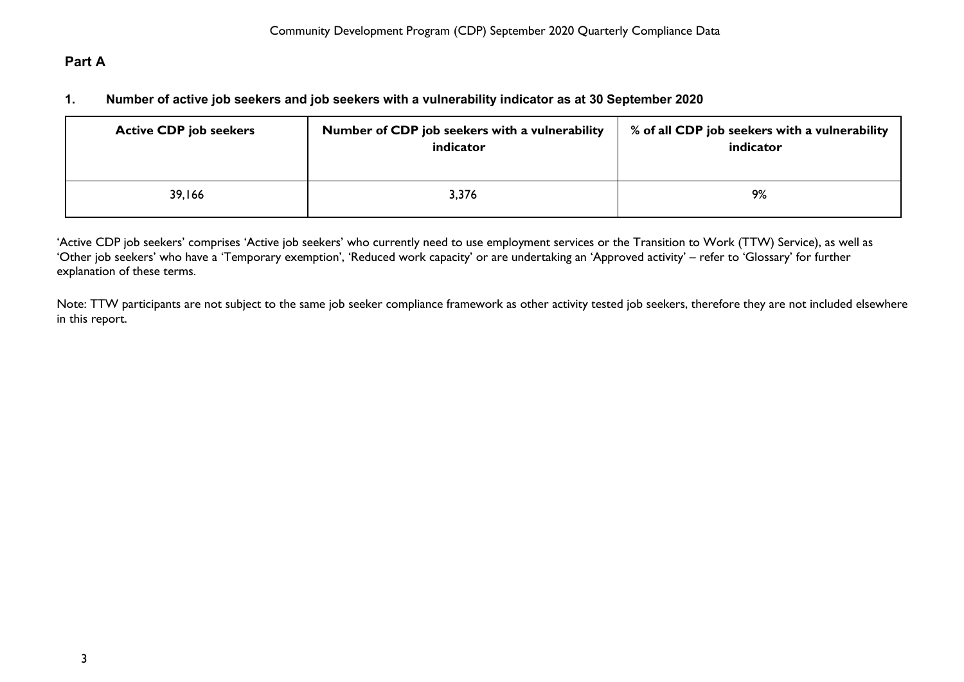# <span id="page-3-1"></span><span id="page-3-0"></span>**Part A**

## **1. Number of active job seekers and job seekers with a vulnerability indicator as at 30 September 2020**

| <b>Active CDP job seekers</b> | Number of CDP job seekers with a vulnerability<br>indicator | % of all CDP job seekers with a vulnerability<br>indicator |
|-------------------------------|-------------------------------------------------------------|------------------------------------------------------------|
| 39,166                        | 3,376                                                       | 9%                                                         |

'Active CDP job seekers' comprises 'Active job seekers' who currently need to use employment services or the Transition to Work (TTW) Service), as well as 'Other job seekers' who have a 'Temporary exemption', 'Reduced work capacity' or are undertaking an 'Approved activity' – refer to 'Glossary' for further explanation of these terms.

Note: TTW participants are not subject to the same job seeker compliance framework as other activity tested job seekers, therefore they are not included elsewhere in this report.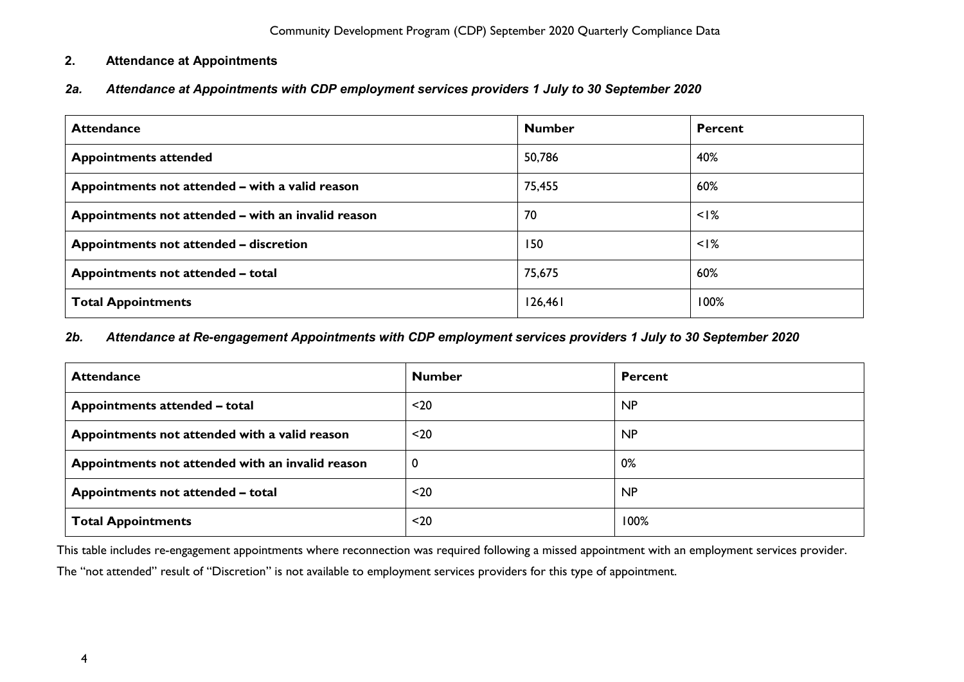## <span id="page-4-0"></span>**2. Attendance at Appointments**

# <span id="page-4-1"></span>*2a. Attendance at Appointments with CDP employment services providers 1 July to 30 September 2020*

| <b>Attendance</b>                                  | <b>Number</b> | Percent |
|----------------------------------------------------|---------------|---------|
| <b>Appointments attended</b>                       | 50,786        | 40%     |
| Appointments not attended - with a valid reason    | 75,455        | 60%     |
| Appointments not attended – with an invalid reason | 70            | $<$ I%  |
| Appointments not attended – discretion             | 150           | $<$ I%  |
| Appointments not attended - total                  | 75,675        | 60%     |
| <b>Total Appointments</b>                          | 126,461       | 100%    |

## <span id="page-4-2"></span>*2b. Attendance at Re-engagement Appointments with CDP employment services providers 1 July to 30 September 2020*

| <b>Attendance</b>                                | <b>Number</b> | <b>Percent</b> |
|--------------------------------------------------|---------------|----------------|
| Appointments attended - total                    | $20$          | <b>NP</b>      |
| Appointments not attended with a valid reason    | $20$          | <b>NP</b>      |
| Appointments not attended with an invalid reason |               | 0%             |
| Appointments not attended - total                | $20$          | <b>NP</b>      |
| <b>Total Appointments</b>                        | $20$          | 100%           |

This table includes re-engagement appointments where reconnection was required following a missed appointment with an employment services provider.

The "not attended" result of "Discretion" is not available to employment services providers for this type of appointment.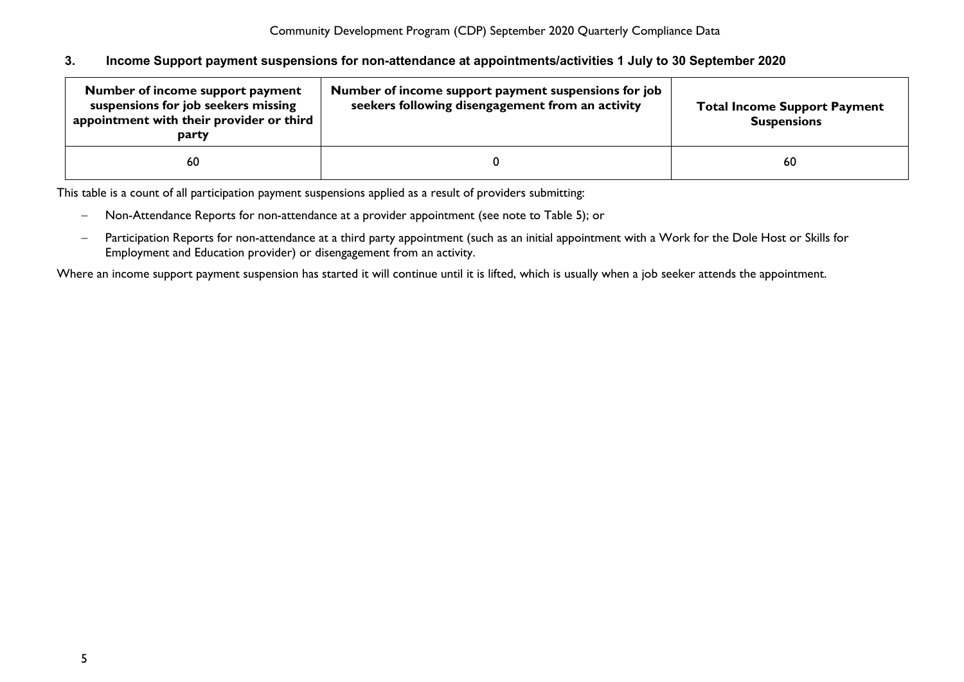### <span id="page-5-0"></span>**3. Income Support payment suspensions for non-attendance at appointments/activities 1 July to 30 September 2020**

| Number of income support payment<br>suspensions for job seekers missing<br>appointment with their provider or third<br>party | Number of income support payment suspensions for job<br>seekers following disengagement from an activity | <b>Total Income Support Payment</b><br><b>Suspensions</b> |
|------------------------------------------------------------------------------------------------------------------------------|----------------------------------------------------------------------------------------------------------|-----------------------------------------------------------|
| 60                                                                                                                           |                                                                                                          | 60                                                        |

This table is a count of all participation payment suspensions applied as a result of providers submitting:

- − Non-Attendance Reports for non-attendance at a provider appointment (see note to Table 5); or
- − Participation Reports for non-attendance at a third party appointment (such as an initial appointment with a Work for the Dole Host or Skills for Employment and Education provider) or disengagement from an activity.

Where an income support payment suspension has started it will continue until it is lifted, which is usually when a job seeker attends the appointment.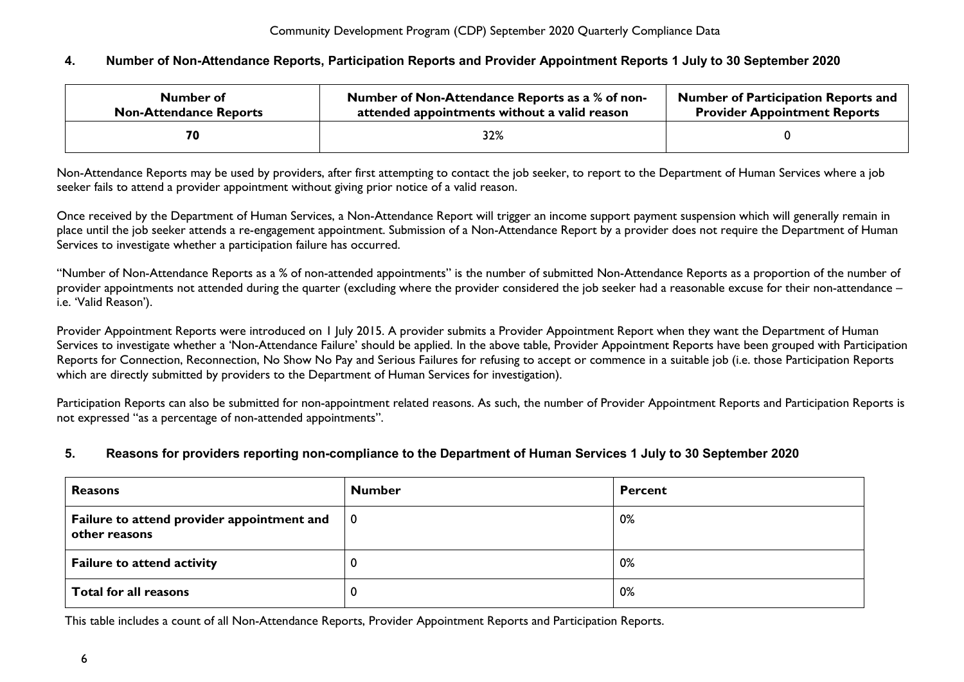## <span id="page-6-0"></span>**4. Number of Non-Attendance Reports, Participation Reports and Provider Appointment Reports 1 July to 30 September 2020**

| Number of                     | Number of Non-Attendance Reports as a % of non- | <b>Number of Participation Reports and</b> |
|-------------------------------|-------------------------------------------------|--------------------------------------------|
| <b>Non-Attendance Reports</b> | attended appointments without a valid reason    | <b>Provider Appointment Reports</b>        |
|                               | 32%                                             |                                            |

Non-Attendance Reports may be used by providers, after first attempting to contact the job seeker, to report to the Department of Human Services where a job seeker fails to attend a provider appointment without giving prior notice of a valid reason.

Once received by the Department of Human Services, a Non-Attendance Report will trigger an income support payment suspension which will generally remain in place until the job seeker attends a re-engagement appointment. Submission of a Non-Attendance Report by a provider does not require the Department of Human Services to investigate whether a participation failure has occurred.

"Number of Non-Attendance Reports as a % of non-attended appointments" is the number of submitted Non-Attendance Reports as a proportion of the number of provider appointments not attended during the quarter (excluding where the provider considered the job seeker had a reasonable excuse for their non-attendance – i.e. 'Valid Reason').

Provider Appointment Reports were introduced on 1 July 2015. A provider submits a Provider Appointment Report when they want the Department of Human Services to investigate whether a 'Non-Attendance Failure' should be applied. In the above table, Provider Appointment Reports have been grouped with Participation Reports for Connection, Reconnection, No Show No Pay and Serious Failures for refusing to accept or commence in a suitable job (i.e. those Participation Reports which are directly submitted by providers to the Department of Human Services for investigation).

Participation Reports can also be submitted for non-appointment related reasons. As such, the number of Provider Appointment Reports and Participation Reports is not expressed "as a percentage of non-attended appointments".

## <span id="page-6-1"></span>**5. Reasons for providers reporting non-compliance to the Department of Human Services 1 July to 30 September 2020**

| <b>Reasons</b>                                              | <b>Number</b>  | <b>Percent</b> |
|-------------------------------------------------------------|----------------|----------------|
| Failure to attend provider appointment and<br>other reasons | $\overline{0}$ | 0%             |
| <b>Failure to attend activity</b>                           |                | 0%             |
| Total for all reasons                                       |                | 0%             |

This table includes a count of all Non-Attendance Reports, Provider Appointment Reports and Participation Reports.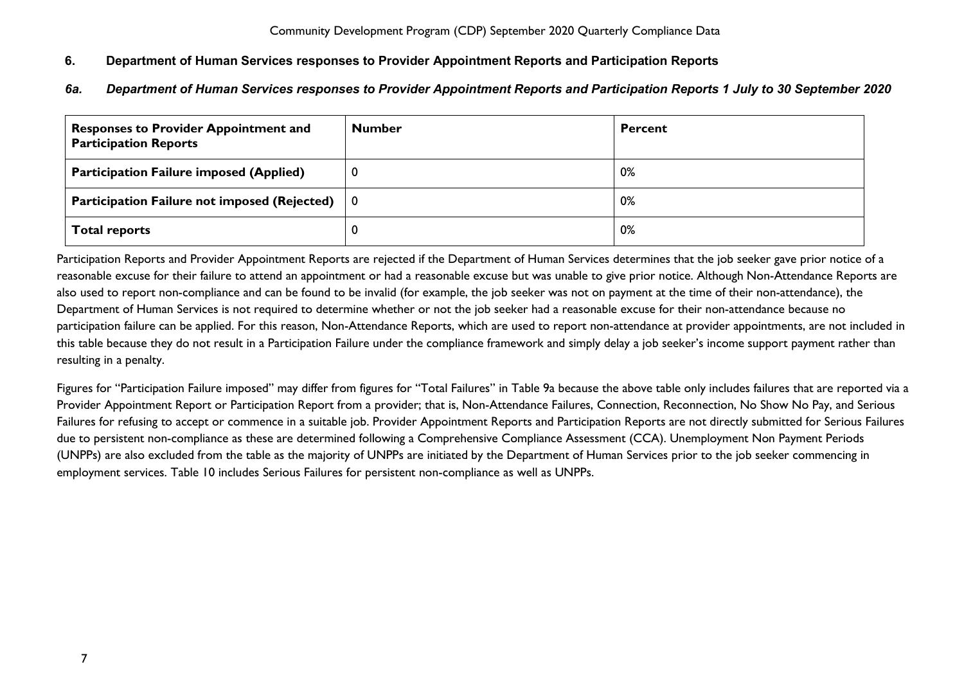# <span id="page-7-0"></span>**6. Department of Human Services responses to Provider Appointment Reports and Participation Reports**

<span id="page-7-1"></span>*6a. Department of Human Services responses to Provider Appointment Reports and Participation Reports 1 July to 30 September 2020*

| <b>Responses to Provider Appointment and</b><br><b>Participation Reports</b>          | <b>Number</b> | <b>Percent</b> |
|---------------------------------------------------------------------------------------|---------------|----------------|
| Participation Failure imposed (Applied)                                               | U             | 0%             |
| <b>Participation Failure not imposed (Rejected)</b> $\begin{pmatrix} 0 \end{pmatrix}$ |               | 0%             |
| <b>Total reports</b>                                                                  |               | 0%             |

Participation Reports and Provider Appointment Reports are rejected if the Department of Human Services determines that the job seeker gave prior notice of a reasonable excuse for their failure to attend an appointment or had a reasonable excuse but was unable to give prior notice. Although Non-Attendance Reports are also used to report non-compliance and can be found to be invalid (for example, the job seeker was not on payment at the time of their non-attendance), the Department of Human Services is not required to determine whether or not the job seeker had a reasonable excuse for their non-attendance because no participation failure can be applied. For this reason, Non-Attendance Reports, which are used to report non-attendance at provider appointments, are not included in this table because they do not result in a Participation Failure under the compliance framework and simply delay a job seeker's income support payment rather than resulting in a penalty.

Figures for "Participation Failure imposed" may differ from figures for "Total Failures" in Table 9a because the above table only includes failures that are reported via a Provider Appointment Report or Participation Report from a provider; that is, Non-Attendance Failures, Connection, Reconnection, No Show No Pay, and Serious Failures for refusing to accept or commence in a suitable job. Provider Appointment Reports and Participation Reports are not directly submitted for Serious Failures due to persistent non-compliance as these are determined following a Comprehensive Compliance Assessment (CCA). Unemployment Non Payment Periods (UNPPs) are also excluded from the table as the majority of UNPPs are initiated by the Department of Human Services prior to the job seeker commencing in employment services. Table 10 includes Serious Failures for persistent non-compliance as well as UNPPs.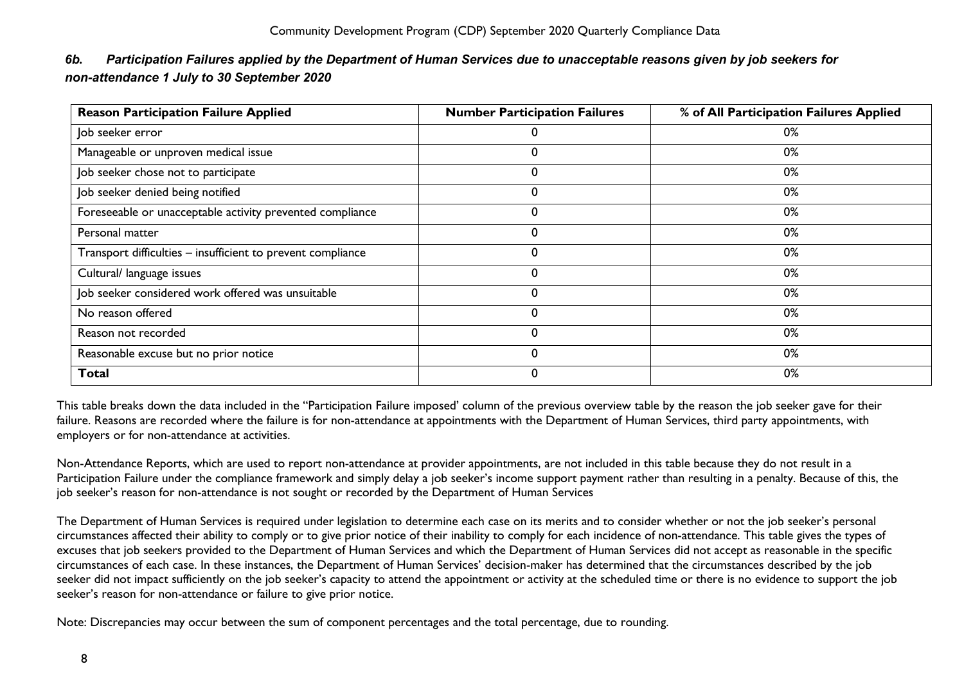| <b>Reason Participation Failure Applied</b>                 | <b>Number Participation Failures</b> | % of All Participation Failures Applied |
|-------------------------------------------------------------|--------------------------------------|-----------------------------------------|
| Job seeker error                                            | 0                                    | 0%                                      |
| Manageable or unproven medical issue                        | 0                                    | 0%                                      |
| Job seeker chose not to participate                         | 0                                    | 0%                                      |
| Job seeker denied being notified                            | 0                                    | 0%                                      |
| Foreseeable or unacceptable activity prevented compliance   | 0                                    | 0%                                      |
| Personal matter                                             | 0                                    | 0%                                      |
| Transport difficulties - insufficient to prevent compliance | 0                                    | 0%                                      |
| Cultural/ language issues                                   | 0                                    | 0%                                      |
| Job seeker considered work offered was unsuitable           | 0                                    | 0%                                      |
| No reason offered                                           | 0                                    | 0%                                      |
| Reason not recorded                                         | 0                                    | 0%                                      |
| Reasonable excuse but no prior notice                       | $\mathbf 0$                          | 0%                                      |
| Total                                                       | 0                                    | 0%                                      |

# <span id="page-8-0"></span>*6b. Participation Failures applied by the Department of Human Services due to unacceptable reasons given by job seekers for non-attendance 1 July to 30 September 2020*

This table breaks down the data included in the "Participation Failure imposed' column of the previous overview table by the reason the job seeker gave for their failure. Reasons are recorded where the failure is for non-attendance at appointments with the Department of Human Services, third party appointments, with employers or for non-attendance at activities.

Non-Attendance Reports, which are used to report non-attendance at provider appointments, are not included in this table because they do not result in a Participation Failure under the compliance framework and simply delay a job seeker's income support payment rather than resulting in a penalty. Because of this, the job seeker's reason for non-attendance is not sought or recorded by the Department of Human Services

The Department of Human Services is required under legislation to determine each case on its merits and to consider whether or not the job seeker's personal circumstances affected their ability to comply or to give prior notice of their inability to comply for each incidence of non-attendance. This table gives the types of excuses that job seekers provided to the Department of Human Services and which the Department of Human Services did not accept as reasonable in the specific circumstances of each case. In these instances, the Department of Human Services' decision-maker has determined that the circumstances described by the job seeker did not impact sufficiently on the job seeker's capacity to attend the appointment or activity at the scheduled time or there is no evidence to support the job seeker's reason for non-attendance or failure to give prior notice.

Note: Discrepancies may occur between the sum of component percentages and the total percentage, due to rounding.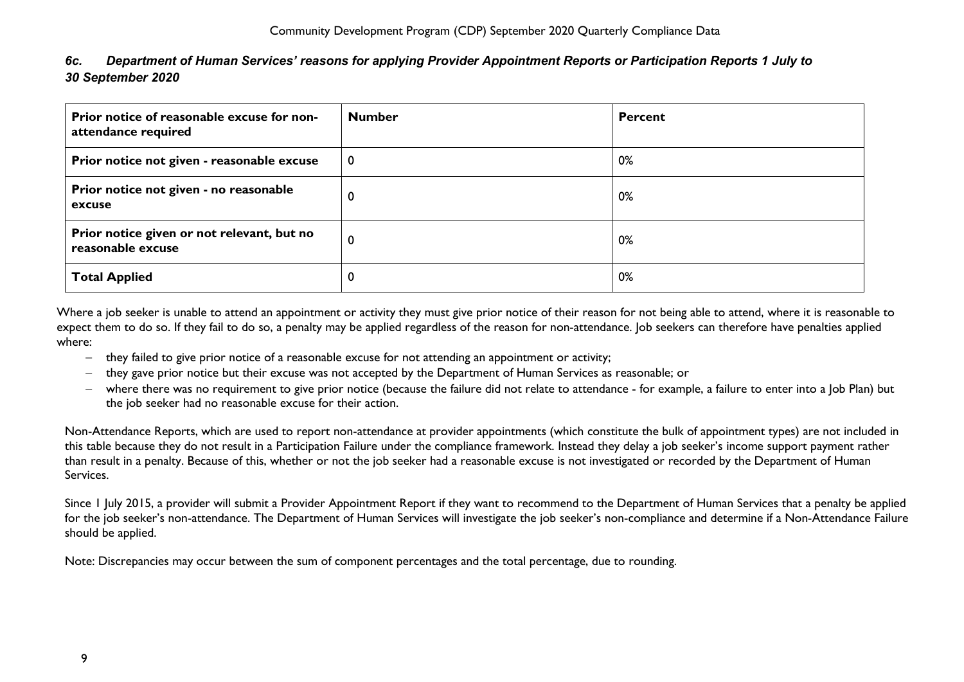<span id="page-9-0"></span>

| 6c. |                   | Department of Human Services' reasons for applying Provider Appointment Reports or Participation Reports 1 July to |
|-----|-------------------|--------------------------------------------------------------------------------------------------------------------|
|     | 30 September 2020 |                                                                                                                    |

| Prior notice of reasonable excuse for non-<br>attendance required | <b>Number</b> | <b>Percent</b> |
|-------------------------------------------------------------------|---------------|----------------|
| Prior notice not given - reasonable excuse                        | 0             | 0%             |
| Prior notice not given - no reasonable<br>excuse                  | 0             | 0%             |
| Prior notice given or not relevant, but no<br>reasonable excuse   | 0             | 0%             |
| <b>Total Applied</b>                                              | $\bf{0}$      | 0%             |

Where a job seeker is unable to attend an appointment or activity they must give prior notice of their reason for not being able to attend, where it is reasonable to expect them to do so. If they fail to do so, a penalty may be applied regardless of the reason for non-attendance. Job seekers can therefore have penalties applied where:

- − they failed to give prior notice of a reasonable excuse for not attending an appointment or activity;
- − they gave prior notice but their excuse was not accepted by the Department of Human Services as reasonable; or
- − where there was no requirement to give prior notice (because the failure did not relate to attendance for example, a failure to enter into a Job Plan) but the job seeker had no reasonable excuse for their action.

Non-Attendance Reports, which are used to report non-attendance at provider appointments (which constitute the bulk of appointment types) are not included in this table because they do not result in a Participation Failure under the compliance framework. Instead they delay a job seeker's income support payment rather than result in a penalty. Because of this, whether or not the job seeker had a reasonable excuse is not investigated or recorded by the Department of Human Services.

Since 1 July 2015, a provider will submit a Provider Appointment Report if they want to recommend to the Department of Human Services that a penalty be applied for the job seeker's non-attendance. The Department of Human Services will investigate the job seeker's non-compliance and determine if a Non-Attendance Failure should be applied.

Note: Discrepancies may occur between the sum of component percentages and the total percentage, due to rounding.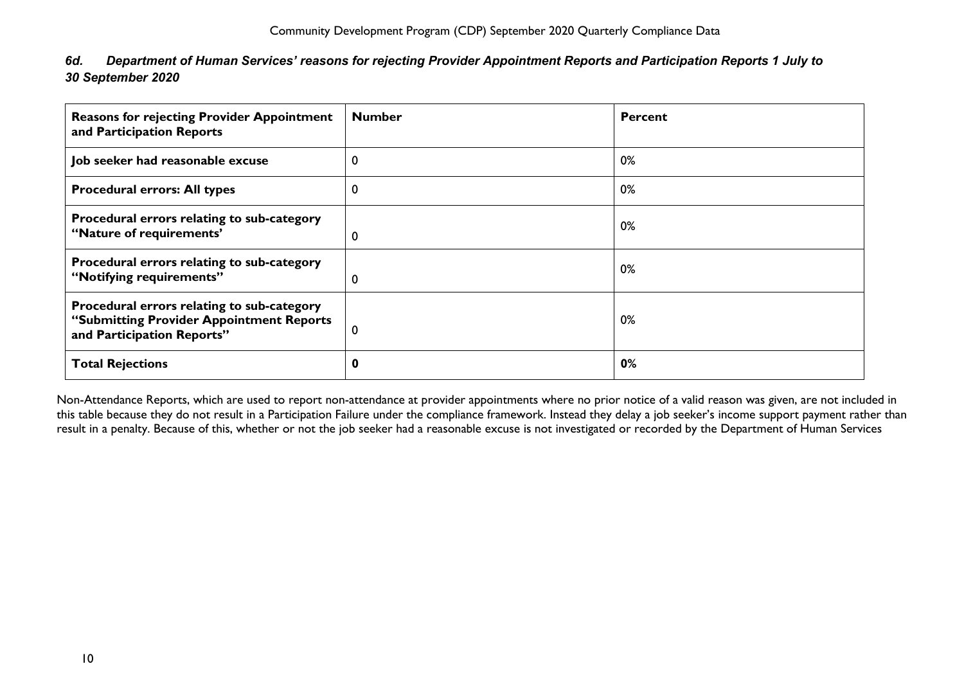<span id="page-10-0"></span>

| 6d. Department of Human Services' reasons for rejecting Provider Appointment Reports and Participation Reports 1 July to |
|--------------------------------------------------------------------------------------------------------------------------|
| 30 September 2020                                                                                                        |

| <b>Reasons for rejecting Provider Appointment</b><br>and Participation Reports                                       | <b>Number</b> | <b>Percent</b> |
|----------------------------------------------------------------------------------------------------------------------|---------------|----------------|
| Job seeker had reasonable excuse                                                                                     | 0             | 0%             |
| <b>Procedural errors: All types</b>                                                                                  | 0             | 0%             |
| Procedural errors relating to sub-category<br>"Nature of requirements"                                               | 0             | 0%             |
| Procedural errors relating to sub-category<br>"Notifying requirements"                                               | 0             | 0%             |
| Procedural errors relating to sub-category<br>"Submitting Provider Appointment Reports<br>and Participation Reports" | 0             | 0%             |
| <b>Total Rejections</b>                                                                                              | 0             | 0%             |

Non-Attendance Reports, which are used to report non-attendance at provider appointments where no prior notice of a valid reason was given, are not included in this table because they do not result in a Participation Failure under the compliance framework. Instead they delay a job seeker's income support payment rather than result in a penalty. Because of this, whether or not the job seeker had a reasonable excuse is not investigated or recorded by the Department of Human Services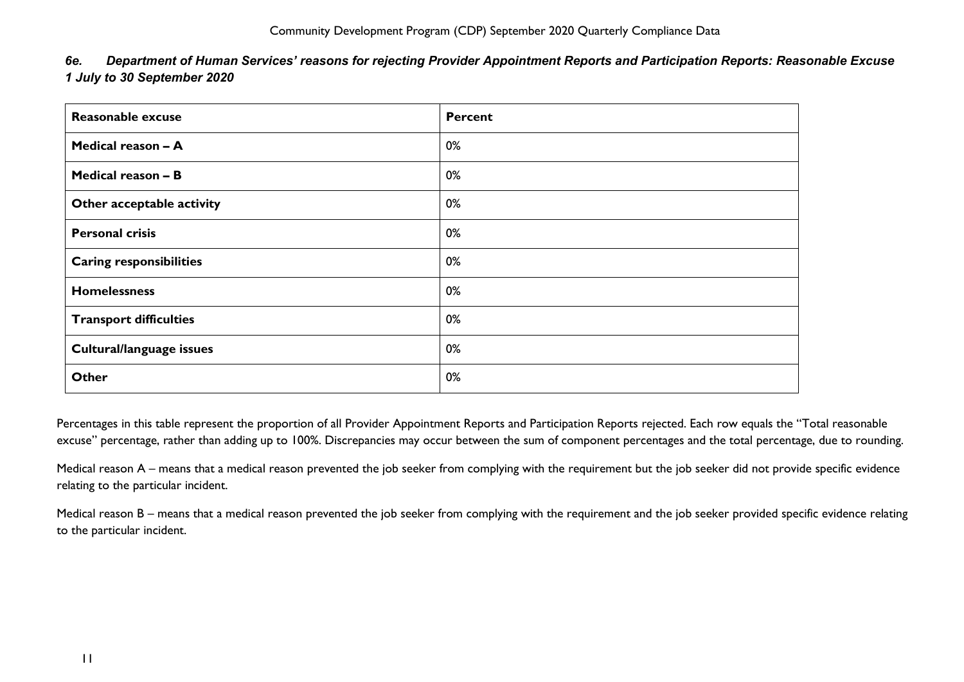| <b>Reasonable excuse</b>       | <b>Percent</b> |
|--------------------------------|----------------|
| Medical reason - A             | 0%             |
| Medical reason - B             | 0%             |
| Other acceptable activity      | 0%             |
| <b>Personal crisis</b>         | 0%             |
| <b>Caring responsibilities</b> | 0%             |
| <b>Homelessness</b>            | 0%             |
| <b>Transport difficulties</b>  | 0%             |
| Cultural/language issues       | 0%             |
| <b>Other</b>                   | 0%             |

<span id="page-11-0"></span>*6e. Department of Human Services' reasons for rejecting Provider Appointment Reports and Participation Reports: Reasonable Excuse 1 July to 30 September 2020*

Percentages in this table represent the proportion of all Provider Appointment Reports and Participation Reports rejected. Each row equals the "Total reasonable excuse" percentage, rather than adding up to 100%. Discrepancies may occur between the sum of component percentages and the total percentage, due to rounding.

Medical reason A – means that a medical reason prevented the job seeker from complying with the requirement but the job seeker did not provide specific evidence relating to the particular incident.

Medical reason B – means that a medical reason prevented the job seeker from complying with the requirement and the job seeker provided specific evidence relating to the particular incident.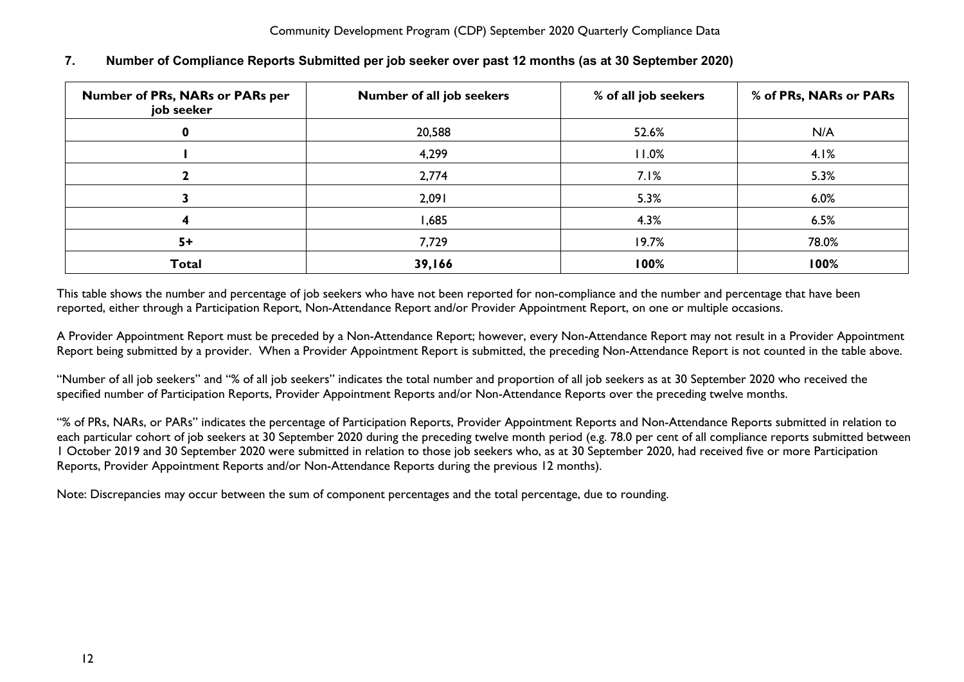| <b>Number of PRs, NARs or PARs per</b><br>job seeker | Number of all job seekers | % of all job seekers | % of PRs, NARs or PARs |
|------------------------------------------------------|---------------------------|----------------------|------------------------|
|                                                      | 20,588                    | 52.6%                | N/A                    |
|                                                      | 4,299                     | 11.0%                | 4.1%                   |
|                                                      | 2,774                     | 7.1%                 | 5.3%                   |
|                                                      | 2,091                     | 5.3%                 | 6.0%                   |
|                                                      | <b>1,685</b>              | 4.3%                 | 6.5%                   |
| $5+$                                                 | 7,729                     | 19.7%                | 78.0%                  |
| <b>Total</b>                                         | 39,166                    | 100%                 | 100%                   |

# <span id="page-12-0"></span>**7. Number of Compliance Reports Submitted per job seeker over past 12 months (as at 30 September 2020)**

This table shows the number and percentage of job seekers who have not been reported for non-compliance and the number and percentage that have been reported, either through a Participation Report, Non-Attendance Report and/or Provider Appointment Report, on one or multiple occasions.

A Provider Appointment Report must be preceded by a Non-Attendance Report; however, every Non-Attendance Report may not result in a Provider Appointment Report being submitted by a provider. When a Provider Appointment Report is submitted, the preceding Non-Attendance Report is not counted in the table above.

"Number of all job seekers" and "% of all job seekers" indicates the total number and proportion of all job seekers as at 30 September 2020 who received the specified number of Participation Reports, Provider Appointment Reports and/or Non-Attendance Reports over the preceding twelve months.

"% of PRs, NARs, or PARs" indicates the percentage of Participation Reports, Provider Appointment Reports and Non-Attendance Reports submitted in relation to each particular cohort of job seekers at 30 September 2020 during the preceding twelve month period (e.g. 78.0 per cent of all compliance reports submitted between 1 October 2019 and 30 September 2020 were submitted in relation to those job seekers who, as at 30 September 2020, had received five or more Participation Reports, Provider Appointment Reports and/or Non-Attendance Reports during the previous 12 months).

Note: Discrepancies may occur between the sum of component percentages and the total percentage, due to rounding.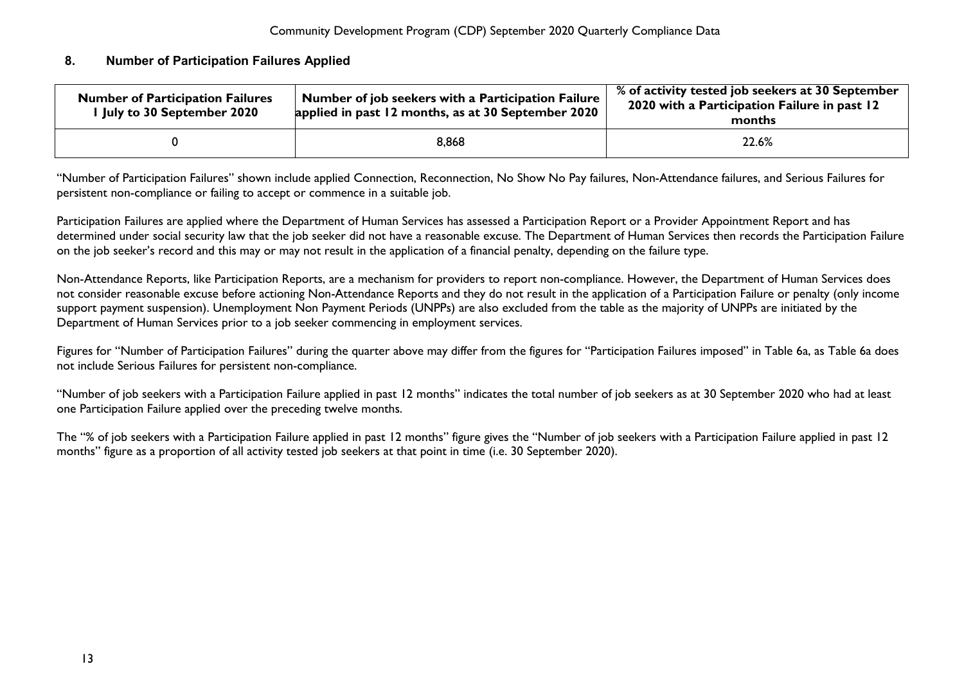## <span id="page-13-0"></span>**8. Number of Participation Failures Applied**

| <b>Number of Participation Failures</b><br>I July to 30 September 2020 | Number of job seekers with a Participation Failure<br>applied in past 12 months, as at 30 September 2020 | % of activity tested job seekers at 30 September<br>2020 with a Participation Failure in past 12<br>months |
|------------------------------------------------------------------------|----------------------------------------------------------------------------------------------------------|------------------------------------------------------------------------------------------------------------|
|                                                                        | 8,868                                                                                                    | 22.6%                                                                                                      |

"Number of Participation Failures" shown include applied Connection, Reconnection, No Show No Pay failures, Non-Attendance failures, and Serious Failures for persistent non-compliance or failing to accept or commence in a suitable job.

Participation Failures are applied where the Department of Human Services has assessed a Participation Report or a Provider Appointment Report and has determined under social security law that the job seeker did not have a reasonable excuse. The Department of Human Services then records the Participation Failure on the job seeker's record and this may or may not result in the application of a financial penalty, depending on the failure type.

Non-Attendance Reports, like Participation Reports, are a mechanism for providers to report non-compliance. However, the Department of Human Services does not consider reasonable excuse before actioning Non-Attendance Reports and they do not result in the application of a Participation Failure or penalty (only income support payment suspension). Unemployment Non Payment Periods (UNPPs) are also excluded from the table as the majority of UNPPs are initiated by the Department of Human Services prior to a job seeker commencing in employment services.

Figures for "Number of Participation Failures" during the quarter above may differ from the figures for "Participation Failures imposed" in Table 6a, as Table 6a does not include Serious Failures for persistent non-compliance.

"Number of job seekers with a Participation Failure applied in past 12 months" indicates the total number of job seekers as at 30 September 2020 who had at least one Participation Failure applied over the preceding twelve months.

The "% of job seekers with a Participation Failure applied in past 12 months" figure gives the "Number of job seekers with a Participation Failure applied in past 12 months" figure as a proportion of all activity tested job seekers at that point in time (i.e. 30 September 2020).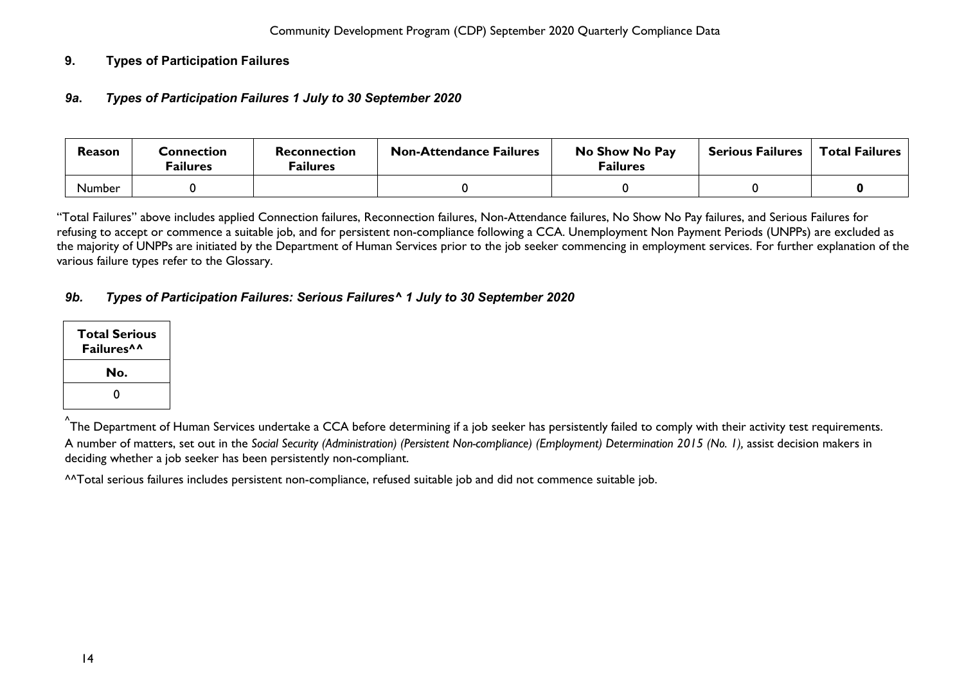## <span id="page-14-1"></span><span id="page-14-0"></span>**9. Types of Participation Failures**

## *9a***.** *Types of Participation Failures 1 July to 30 September 2020*

| Reason        | Connection<br>Failures | Reconnection<br><b>Failures</b> | <b>Non-Attendance Failures</b> | No Show No Pay<br><b>Failures</b> | <b>Serious Failures</b> | <b>Total Failures</b> |
|---------------|------------------------|---------------------------------|--------------------------------|-----------------------------------|-------------------------|-----------------------|
| <b>Number</b> |                        |                                 |                                |                                   |                         |                       |

"Total Failures" above includes applied Connection failures, Reconnection failures, Non-Attendance failures, No Show No Pay failures, and Serious Failures for refusing to accept or commence a suitable job, and for persistent non-compliance following a CCA. Unemployment Non Payment Periods (UNPPs) are excluded as the majority of UNPPs are initiated by the Department of Human Services prior to the job seeker commencing in employment services. For further explanation of the various failure types refer to the Glossary.

# <span id="page-14-2"></span>*9b. Types of Participation Failures: Serious Failures^ 1 July to 30 September 2020*

| Total Serious<br>Failures <sup>^^</sup> |
|-----------------------------------------|
| No.                                     |
| O                                       |

<sup>^</sup>The Department of Human Services undertake a CCA before determining if a job seeker has persistently failed to comply with their activity test requirements. A number of matters, set out in the *Social Security (Administration) (Persistent Non-compliance) (Employment) Determination 2015 (No. 1),* assist decision makers in deciding whether a job seeker has been persistently non-compliant.

^^Total serious failures includes persistent non-compliance, refused suitable job and did not commence suitable job.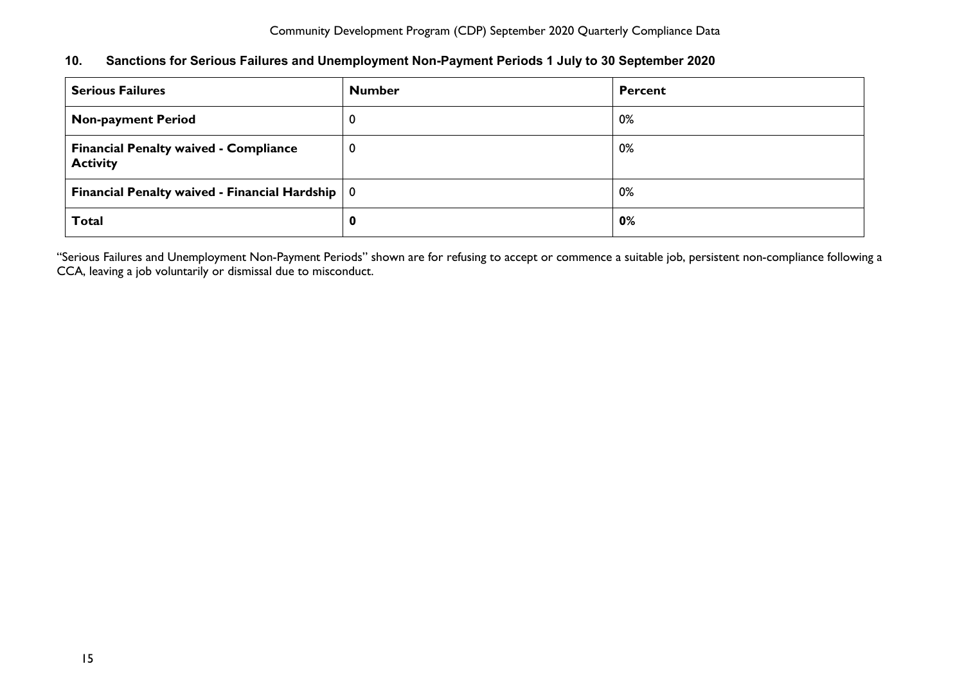# <span id="page-15-0"></span>**10. Sanctions for Serious Failures and Unemployment Non-Payment Periods 1 July to 30 September 2020**

| <b>Serious Failures</b>                                         | <b>Number</b> | <b>Percent</b> |
|-----------------------------------------------------------------|---------------|----------------|
| <b>Non-payment Period</b>                                       | 0             | 0%             |
| <b>Financial Penalty waived - Compliance</b><br><b>Activity</b> | 0             | 0%             |
| Financial Penalty waived - Financial Hardship $\vert 0 \vert$   |               | 0%             |
| <b>Total</b>                                                    | 0             | 0%             |

"Serious Failures and Unemployment Non-Payment Periods" shown are for refusing to accept or commence a suitable job, persistent non-compliance following a CCA, leaving a job voluntarily or dismissal due to misconduct.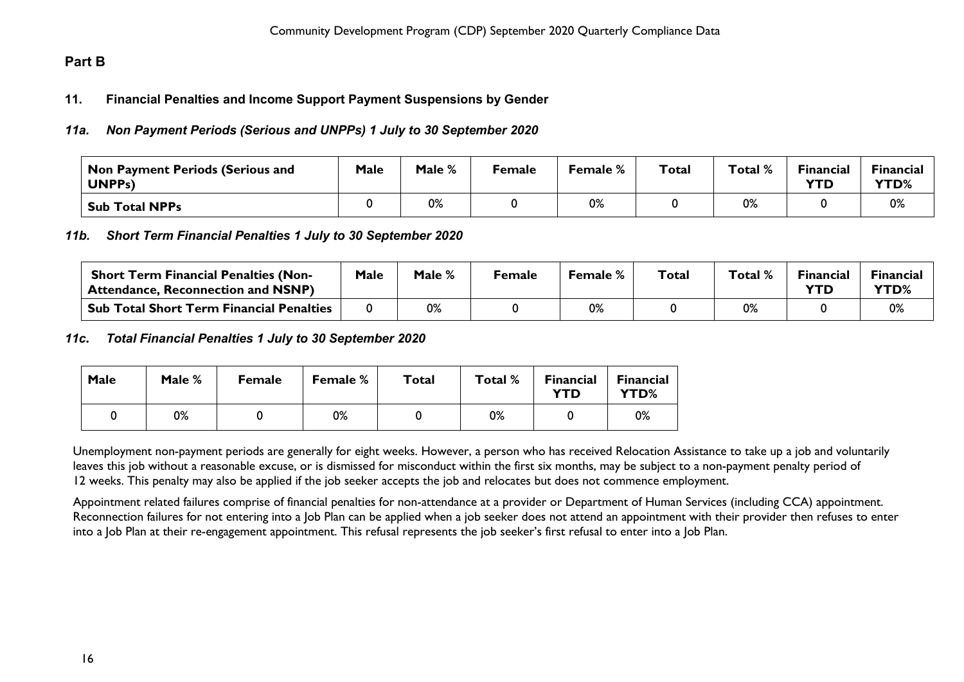# <span id="page-16-1"></span><span id="page-16-0"></span>**Part B**

## **11. Financial Penalties and Income Support Payment Suspensions by Gender**

# <span id="page-16-2"></span>*11a. Non Payment Periods (Serious and UNPPs) 1 July to 30 September 2020*

| <b>Non Payment Periods (Serious and</b><br><b>UNPPs)</b> | Male | Male % | Female | <b>Female</b> % | <b>Total</b> | Total % | <b>Financial</b><br><b>YTD</b> | <b>Financial</b><br><b>YTD%</b> |
|----------------------------------------------------------|------|--------|--------|-----------------|--------------|---------|--------------------------------|---------------------------------|
| <b>Sub Total NPPs</b>                                    |      | 0%     |        | 0%              |              | 0%      |                                | 0%                              |

## <span id="page-16-3"></span>*11b. Short Term Financial Penalties 1 July to 30 September 2020*

| <b>Short Term Financial Penalties (Non-</b><br>Attendance, Reconnection and NSNP) | <b>Male</b> | Male % | Female | Female % | Total | Total % | <b>Financial</b><br><b>YTD</b> | <b>Financial</b><br><b>YTD%</b> |
|-----------------------------------------------------------------------------------|-------------|--------|--------|----------|-------|---------|--------------------------------|---------------------------------|
| <b>Sub Total Short Term Financial Penalties</b>                                   |             | 0%     |        | 0%       |       | 0%      |                                | 0%                              |

## <span id="page-16-4"></span>*11c***.** *Total Financial Penalties 1 July to 30 September 2020*

| Male | Male % | <b>Female</b> | <b>Female</b> % | Total | Total % | <b>Financial</b><br>YTD | <b>Financial</b><br>YTD% |
|------|--------|---------------|-----------------|-------|---------|-------------------------|--------------------------|
|      | 0%     |               | 0%              |       | 0%      |                         | 0%                       |

Unemployment non-payment periods are generally for eight weeks. However, a person who has received Relocation Assistance to take up a job and voluntarily leaves this job without a reasonable excuse, or is dismissed for misconduct within the first six months, may be subject to a non-payment penalty period of 12 weeks. This penalty may also be applied if the job seeker accepts the job and relocates but does not commence employment.

Appointment related failures comprise of financial penalties for non-attendance at a provider or Department of Human Services (including CCA) appointment. Reconnection failures for not entering into a Job Plan can be applied when a job seeker does not attend an appointment with their provider then refuses to enter into a Job Plan at their re-engagement appointment. This refusal represents the job seeker's first refusal to enter into a Job Plan.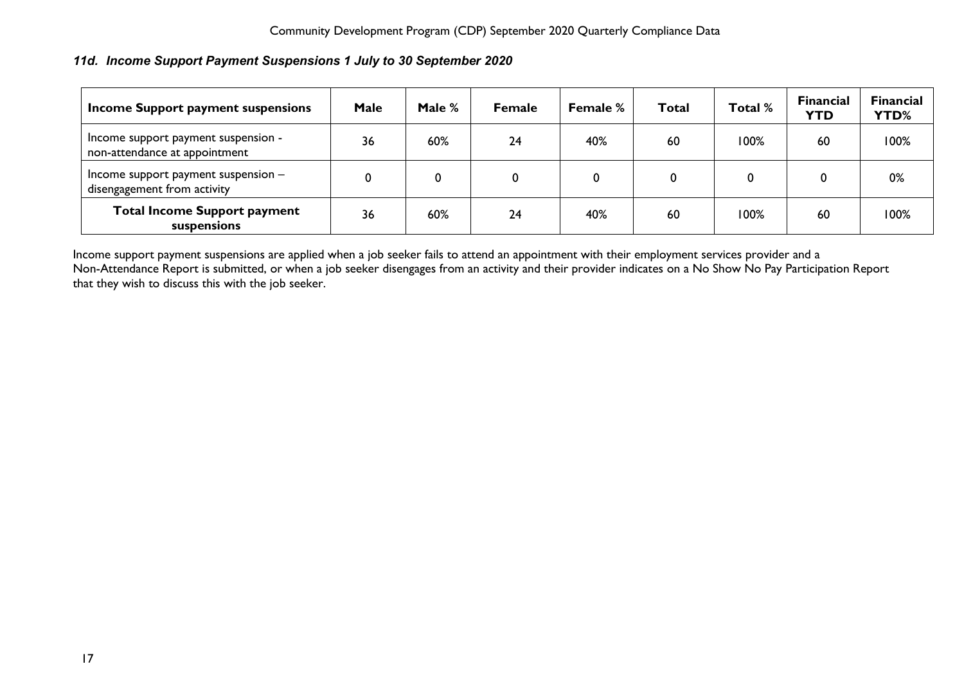# <span id="page-17-0"></span>*11d. Income Support Payment Suspensions 1 July to 30 September 2020*

| Income Support payment suspensions                                   | Male | Male % | <b>Female</b> | <b>Female %</b> | Total | Total % | <b>Financial</b><br><b>YTD</b> | <b>Financial</b><br><b>YTD%</b> |
|----------------------------------------------------------------------|------|--------|---------------|-----------------|-------|---------|--------------------------------|---------------------------------|
| Income support payment suspension -<br>non-attendance at appointment | 36   | 60%    | 24            | 40%             | 60    | 100%    | 60                             | 100%                            |
| Income support payment suspension -<br>disengagement from activity   |      | 0      | 0             |                 |       |         |                                | 0%                              |
| <b>Total Income Support payment</b><br>suspensions                   | 36   | 60%    | 24            | 40%             | 60    | 100%    | 60                             | 100%                            |

Income support payment suspensions are applied when a job seeker fails to attend an appointment with their employment services provider and a Non-Attendance Report is submitted, or when a job seeker disengages from an activity and their provider indicates on a No Show No Pay Participation Report that they wish to discuss this with the job seeker.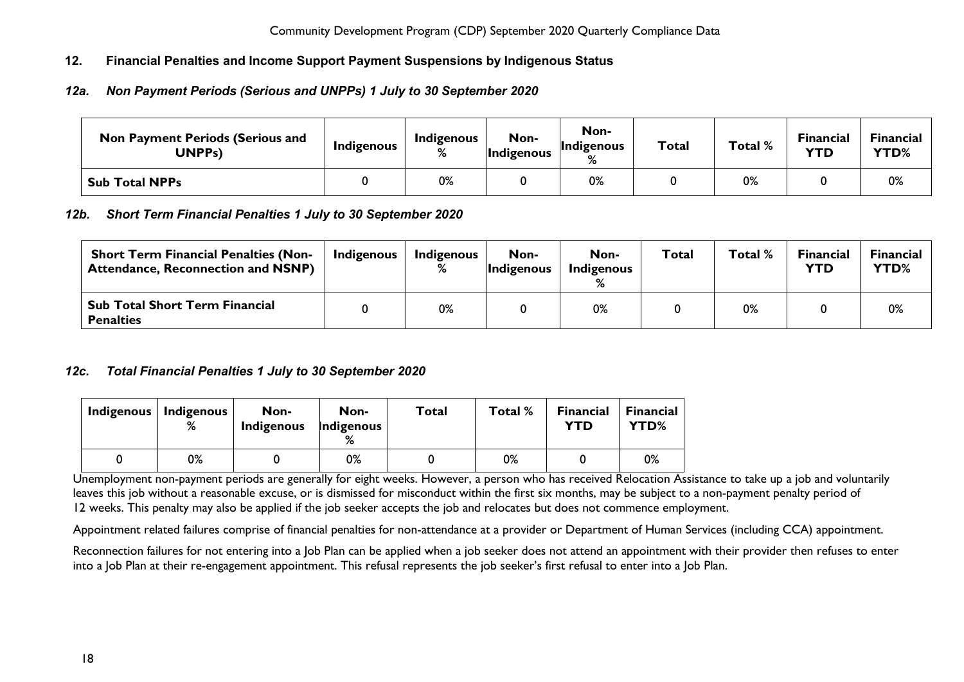# <span id="page-18-0"></span>**12. Financial Penalties and Income Support Payment Suspensions by Indigenous Status**

## <span id="page-18-1"></span>*12a. Non Payment Periods (Serious and UNPPs) 1 July to 30 September 2020*

| <b>Non Payment Periods (Serious and</b><br>UNPPs) | Indigenous | Indigenous<br>% | Non-<br><i>Indigenous</i> | Non-<br>Indigenous<br>$\mathsf{o}$ | <b>Total</b> | Total %         | <b>Financial</b><br><b>YTD</b> | Financial<br>YTD% |
|---------------------------------------------------|------------|-----------------|---------------------------|------------------------------------|--------------|-----------------|--------------------------------|-------------------|
| <b>Sub Total NPPs</b>                             |            | 0%              |                           | 0%                                 |              | n%<br>$V/\circ$ |                                | 0%                |

## <span id="page-18-2"></span>*12b. Short Term Financial Penalties 1 July to 30 September 2020*

| <b>Short Term Financial Penalties (Non-</b><br><b>Attendance, Reconnection and NSNP)</b> | <b>Indigenous</b> | Indigenous<br>℅ | Non-<br><b>Indigenous</b> | Non-<br>Indigenous | <b>Total</b> | Total % | <b>Financial</b><br><b>YTD</b> | Financial<br><b>YTD%</b> |
|------------------------------------------------------------------------------------------|-------------------|-----------------|---------------------------|--------------------|--------------|---------|--------------------------------|--------------------------|
| <b>Sub Total Short Term Financial</b><br><b>Penalties</b>                                |                   | 0%              |                           | 0%                 |              | 0%      |                                | 0%                       |

## <span id="page-18-3"></span>*12c. Total Financial Penalties 1 July to 30 September 2020*

| Indigenous | Indigenous<br>% | Non-<br>Indigenous | Non-<br>Indigenous | Total | Total % | <b>Financial</b><br>YTD | <b>Financial</b><br><b>YTD%</b> |
|------------|-----------------|--------------------|--------------------|-------|---------|-------------------------|---------------------------------|
|            | 0%              |                    | 0%                 |       | 0%      |                         | 0%                              |

Unemployment non-payment periods are generally for eight weeks. However, a person who has received Relocation Assistance to take up a job and voluntarily leaves this job without a reasonable excuse, or is dismissed for misconduct within the first six months, may be subject to a non-payment penalty period of 12 weeks. This penalty may also be applied if the job seeker accepts the job and relocates but does not commence employment.

Appointment related failures comprise of financial penalties for non-attendance at a provider or Department of Human Services (including CCA) appointment.

Reconnection failures for not entering into a Job Plan can be applied when a job seeker does not attend an appointment with their provider then refuses to enter into a Job Plan at their re-engagement appointment. This refusal represents the job seeker's first refusal to enter into a Job Plan.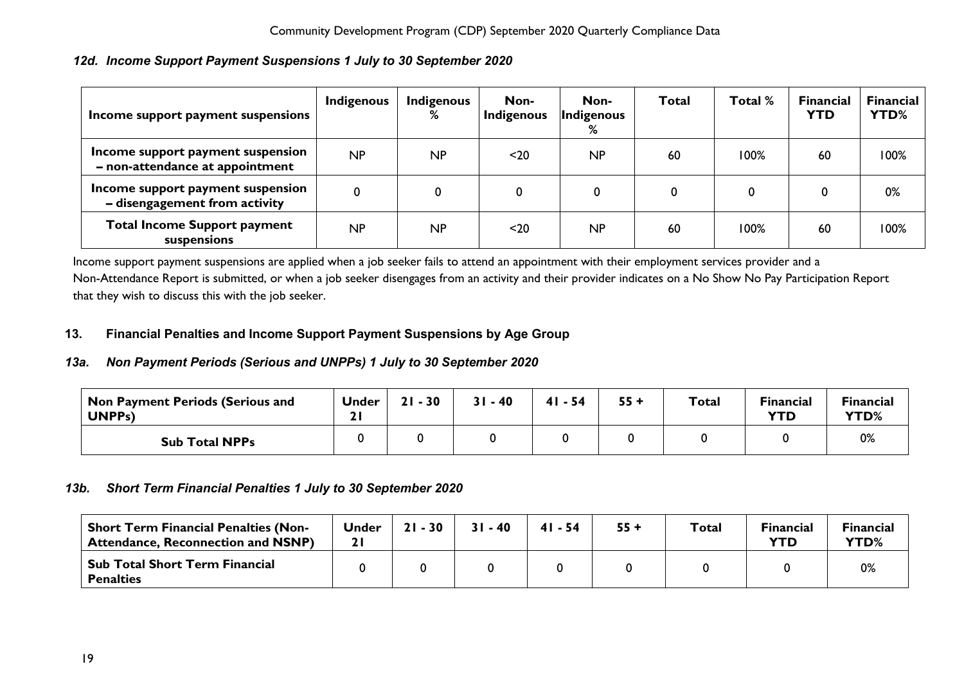# <span id="page-19-0"></span>*12d. Income Support Payment Suspensions 1 July to 30 September 2020*

| Income support payment suspensions                                   | Indigenous | Indigenous<br>% | Non-<br>Indigenous | Non-<br>Indigenous<br>% | <b>Total</b> | Total % | <b>Financial</b><br><b>YTD</b> | <b>Financial</b><br>YTD% |
|----------------------------------------------------------------------|------------|-----------------|--------------------|-------------------------|--------------|---------|--------------------------------|--------------------------|
| Income support payment suspension<br>- non-attendance at appointment | NP         | NP              | $20$               | NP                      | 60           | 100%    | 60                             | 100%                     |
| Income support payment suspension<br>- disengagement from activity   | 0          |                 | 0                  |                         |              | 0       |                                | 0%                       |
| <b>Total Income Support payment</b><br>suspensions                   | NP         | <b>NP</b>       | $20$               | <b>NP</b>               | 60           | 100%    | 60                             | 100%                     |

Income support payment suspensions are applied when a job seeker fails to attend an appointment with their employment services provider and a Non-Attendance Report is submitted, or when a job seeker disengages from an activity and their provider indicates on a No Show No Pay Participation Report that they wish to discuss this with the job seeker.

# <span id="page-19-1"></span>**13. Financial Penalties and Income Support Payment Suspensions by Age Group**

## <span id="page-19-2"></span>*13a. Non Payment Periods (Serious and UNPPs) 1 July to 30 September 2020*

| Non Payment Periods (Serious and<br>UNPP <sub>S</sub> ) | Under | 21<br>$-30$ | $31 - 40$ | $41 - 54$ | $55 +$ | <b>Total</b> | <b>Financial</b><br><b>YTD</b> | <b>Financial</b><br>YTD% |
|---------------------------------------------------------|-------|-------------|-----------|-----------|--------|--------------|--------------------------------|--------------------------|
| <b>Sub Total NPPs</b>                                   |       |             |           |           |        |              |                                | 0%                       |

## <span id="page-19-3"></span>*13b. Short Term Financial Penalties 1 July to 30 September 2020*

<span id="page-19-4"></span>

| <b>Short Term Financial Penalties (Non-</b><br><b>Attendance, Reconnection and NSNP)</b> | <b>Under</b> | $21 - 30$ | $31 - 40$ | $41 - 54$ | $55 +$ | <b>Total</b> | <b>Financial</b><br><b>YTD</b> | <b>Financial</b><br>YTD% |
|------------------------------------------------------------------------------------------|--------------|-----------|-----------|-----------|--------|--------------|--------------------------------|--------------------------|
| Sub Total Short Term Financial<br><b>Penalties</b>                                       |              |           |           |           |        |              |                                | 0%                       |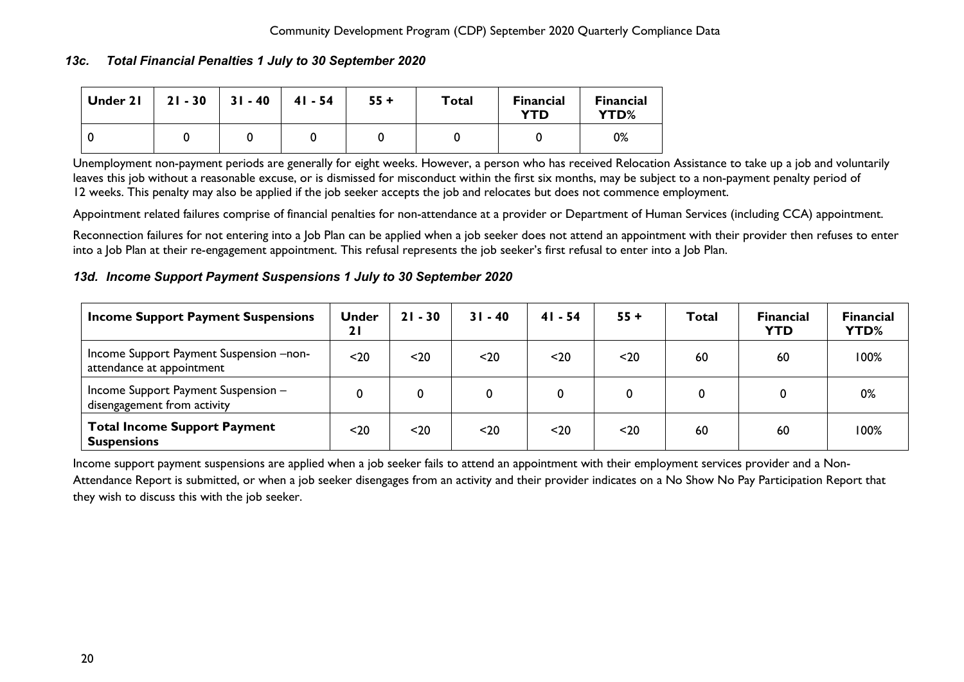## *13c. Total Financial Penalties 1 July to 30 September 2020*

| Under 21 | $21 - 30$ | $31 - 40$ | $41 - 54$ | $55 +$ | Total | <b>Financial</b><br><b>YTD</b> | <b>Financial</b><br>YTD% |
|----------|-----------|-----------|-----------|--------|-------|--------------------------------|--------------------------|
|          |           |           |           |        |       |                                | 0%                       |

Unemployment non-payment periods are generally for eight weeks. However, a person who has received Relocation Assistance to take up a job and voluntarily leaves this job without a reasonable excuse, or is dismissed for misconduct within the first six months, may be subject to a non-payment penalty period of 12 weeks. This penalty may also be applied if the job seeker accepts the job and relocates but does not commence employment.

Appointment related failures comprise of financial penalties for non-attendance at a provider or Department of Human Services (including CCA) appointment.

Reconnection failures for not entering into a Job Plan can be applied when a job seeker does not attend an appointment with their provider then refuses to enter into a Job Plan at their re-engagement appointment. This refusal represents the job seeker's first refusal to enter into a Job Plan.

## <span id="page-20-0"></span>*13d. Income Support Payment Suspensions 1 July to 30 September 2020*

| <b>Income Support Payment Suspensions</b>                            | Under<br>21 | $21 - 30$ | $31 - 40$ | $41 - 54$ | $55 +$ | Total | <b>Financial</b><br><b>YTD</b> | <b>Financial</b><br>YTD% |
|----------------------------------------------------------------------|-------------|-----------|-----------|-----------|--------|-------|--------------------------------|--------------------------|
| Income Support Payment Suspension -non-<br>attendance at appointment | $20$        | $20$      | $20$      | $20$      | $20$   | 60    | 60                             | 100%                     |
| Income Support Payment Suspension -<br>disengagement from activity   |             |           |           |           | 0      |       |                                | 0%                       |
| <b>Total Income Support Payment</b><br><b>Suspensions</b>            | $20$        | $20$      | $20$      | $20$      | $20$   | 60    | 60                             | 100%                     |

Income support payment suspensions are applied when a job seeker fails to attend an appointment with their employment services provider and a Non-Attendance Report is submitted, or when a job seeker disengages from an activity and their provider indicates on a No Show No Pay Participation Report that they wish to discuss this with the job seeker.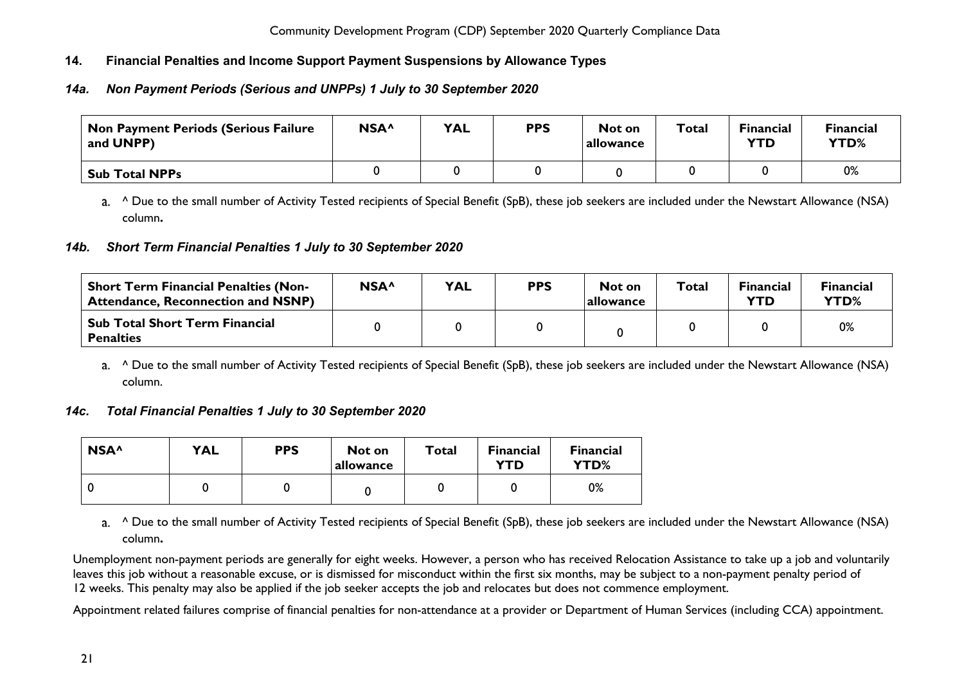# <span id="page-21-0"></span>**14. Financial Penalties and Income Support Payment Suspensions by Allowance Types**

# <span id="page-21-1"></span>*14a. Non Payment Periods (Serious and UNPPs) 1 July to 30 September 2020*

| Non Payment Periods (Serious Failure<br>and UNPP) | NSA <sup>^</sup> | <b>YAL</b> | <b>PPS</b> | Not on<br><b>allowance</b> | <b>Total</b> | <b>Financial</b><br><b>YTD</b> | <b>Financial</b><br>YTD% |
|---------------------------------------------------|------------------|------------|------------|----------------------------|--------------|--------------------------------|--------------------------|
| <b>Sub Total NPPs</b>                             |                  |            |            |                            |              |                                | 0%                       |

a. <sup>^</sup> Due to the small number of Activity Tested recipients of Special Benefit (SpB), these job seekers are included under the Newstart Allowance (NSA) column**.**

## <span id="page-21-2"></span>*14b. Short Term Financial Penalties 1 July to 30 September 2020*

| <b>Short Term Financial Penalties (Non-</b><br><b>Attendance, Reconnection and NSNP)</b> | NSA^ | <b>YAL</b> | <b>PPS</b> | Not on<br>allowance | Total | <b>Financial</b><br><b>YTD</b> | <b>Financial</b><br>YTD% |
|------------------------------------------------------------------------------------------|------|------------|------------|---------------------|-------|--------------------------------|--------------------------|
| <b>Sub Total Short Term Financial</b><br><b>Penalties</b>                                |      |            |            |                     |       |                                | 0%                       |

a. <sup>^</sup> Due to the small number of Activity Tested recipients of Special Benefit (SpB), these job seekers are included under the Newstart Allowance (NSA) column.

## <span id="page-21-3"></span>*14c. Total Financial Penalties 1 July to 30 September 2020*

| NSA <sup>^</sup> | <b>YAL</b> | <b>PPS</b> | Not on<br>allowance | <b>Total</b> | <b>Financial</b><br>YTD | <b>Financial</b><br><b>YTD%</b> |
|------------------|------------|------------|---------------------|--------------|-------------------------|---------------------------------|
|                  |            |            |                     |              |                         | 0%                              |

a. <sup>^</sup> Due to the small number of Activity Tested recipients of Special Benefit (SpB), these job seekers are included under the Newstart Allowance (NSA) column**.**

Unemployment non-payment periods are generally for eight weeks. However, a person who has received Relocation Assistance to take up a job and voluntarily leaves this job without a reasonable excuse, or is dismissed for misconduct within the first six months, may be subject to a non-payment penalty period of 12 weeks. This penalty may also be applied if the job seeker accepts the job and relocates but does not commence employment.

Appointment related failures comprise of financial penalties for non-attendance at a provider or Department of Human Services (including CCA) appointment.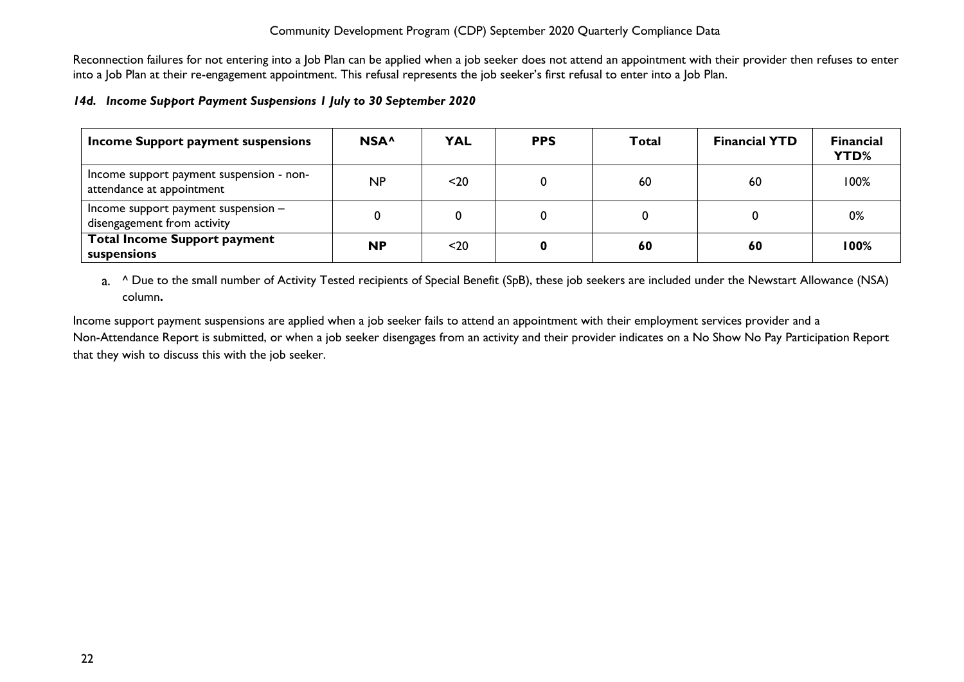Reconnection failures for not entering into a Job Plan can be applied when a job seeker does not attend an appointment with their provider then refuses to enter into a Job Plan at their re-engagement appointment. This refusal represents the job seeker's first refusal to enter into a Job Plan.

## <span id="page-22-0"></span>*14d. Income Support Payment Suspensions 1 July to 30 September 2020*

| Income Support payment suspensions                                    | NSA <sup>^</sup> | <b>YAL</b> | <b>PPS</b> | <b>Total</b> | <b>Financial YTD</b> | <b>Financial</b><br>YTD% |
|-----------------------------------------------------------------------|------------------|------------|------------|--------------|----------------------|--------------------------|
| Income support payment suspension - non-<br>attendance at appointment | NP               | $20$       | 0          | 60           | 60                   | 100%                     |
| Income support payment suspension $-$<br>disengagement from activity  |                  | 0          | 0          |              |                      | 0%                       |
| <b>Total Income Support payment</b><br>suspensions                    | <b>NP</b>        | $20$       | 0          | 60           | 60                   | 100%                     |

a. <sup>^</sup> Due to the small number of Activity Tested recipients of Special Benefit (SpB), these job seekers are included under the Newstart Allowance (NSA) column**.**

Income support payment suspensions are applied when a job seeker fails to attend an appointment with their employment services provider and a Non-Attendance Report is submitted, or when a job seeker disengages from an activity and their provider indicates on a No Show No Pay Participation Report that they wish to discuss this with the job seeker.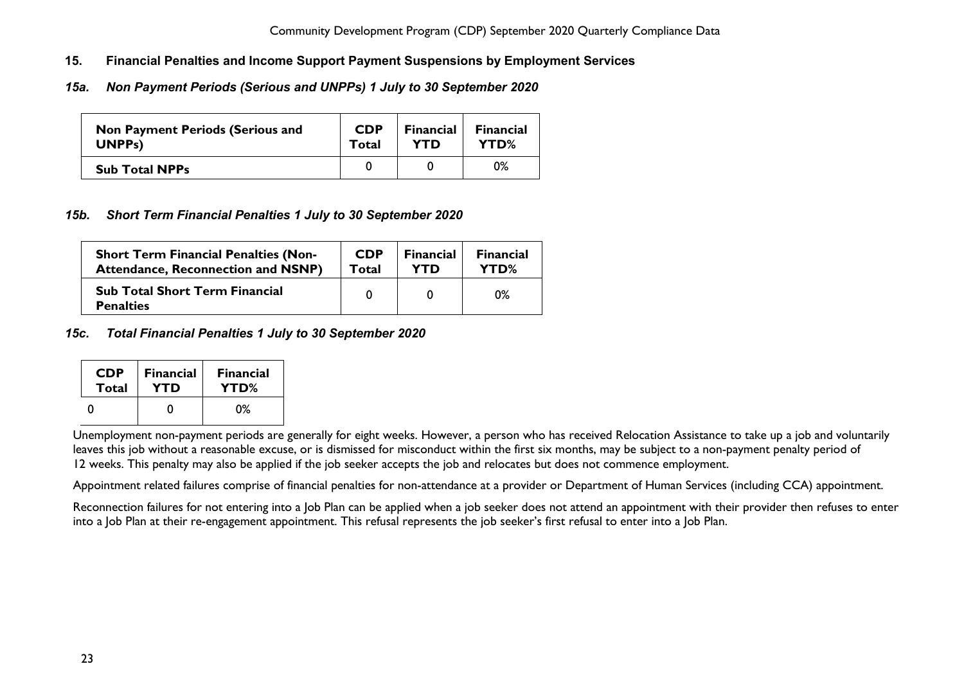- <span id="page-23-0"></span>**15. Financial Penalties and Income Support Payment Suspensions by Employment Services**
- <span id="page-23-1"></span>*15a. Non Payment Periods (Serious and UNPPs) 1 July to 30 September 2020*

| <b>Non Payment Periods (Serious and</b> | <b>CDP</b> | <b>Financial</b> | <b>Financial</b> |
|-----------------------------------------|------------|------------------|------------------|
| UNPP <sub>s</sub> )                     | Total      | <b>YTD</b>       | YTD%             |
| <b>Sub Total NPPs</b>                   |            |                  | 0%               |

# <span id="page-23-2"></span>*15b. Short Term Financial Penalties 1 July to 30 September 2020*

| <b>Short Term Financial Penalties (Non-</b>               | <b>CDP</b> | <b>Financial</b> | <b>Financial</b> |
|-----------------------------------------------------------|------------|------------------|------------------|
| <b>Attendance, Reconnection and NSNP)</b>                 | Total      | YTD              | YTD%             |
| <b>Sub Total Short Term Financial</b><br><b>Penalties</b> |            |                  | $0\%$            |

<span id="page-23-3"></span>*15c. Total Financial Penalties 1 July to 30 September 2020*

| <b>CDP</b> | <b>Financial</b> | <b>Financial</b> |
|------------|------------------|------------------|
| Total      | YTD              | YTD%             |
|            |                  | በ%               |

Unemployment non-payment periods are generally for eight weeks. However, a person who has received Relocation Assistance to take up a job and voluntarily leaves this job without a reasonable excuse, or is dismissed for misconduct within the first six months, may be subject to a non-payment penalty period of 12 weeks. This penalty may also be applied if the job seeker accepts the job and relocates but does not commence employment.

Appointment related failures comprise of financial penalties for non-attendance at a provider or Department of Human Services (including CCA) appointment.

Reconnection failures for not entering into a Job Plan can be applied when a job seeker does not attend an appointment with their provider then refuses to enter into a Job Plan at their re-engagement appointment. This refusal represents the job seeker's first refusal to enter into a Job Plan.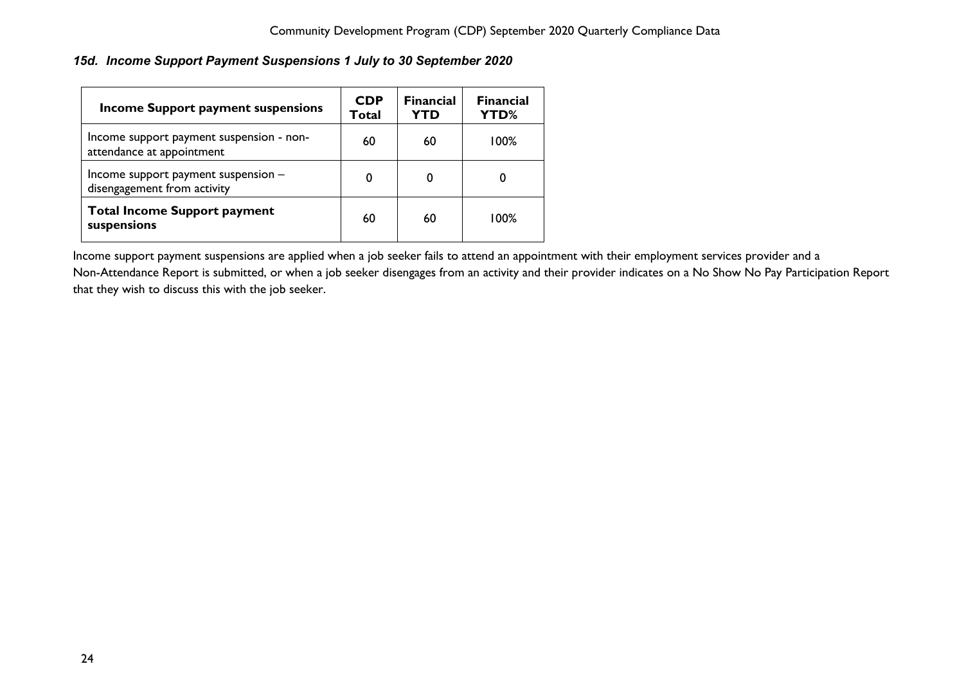# <span id="page-24-0"></span>*15d. Income Support Payment Suspensions 1 July to 30 September 2020*

| Income Support payment suspensions                                    | <b>CDP</b><br>Total | <b>Financial</b><br>YTD | <b>Financial</b><br><b>YTD%</b> |
|-----------------------------------------------------------------------|---------------------|-------------------------|---------------------------------|
| Income support payment suspension - non-<br>attendance at appointment | 60                  | 60                      | 100%                            |
| Income support payment suspension -<br>disengagement from activity    | 0                   | 0                       | 0                               |
| <b>Total Income Support payment</b><br>suspensions                    | 60                  | 60                      | $100\%$                         |

Income support payment suspensions are applied when a job seeker fails to attend an appointment with their employment services provider and a Non-Attendance Report is submitted, or when a job seeker disengages from an activity and their provider indicates on a No Show No Pay Participation Report that they wish to discuss this with the job seeker.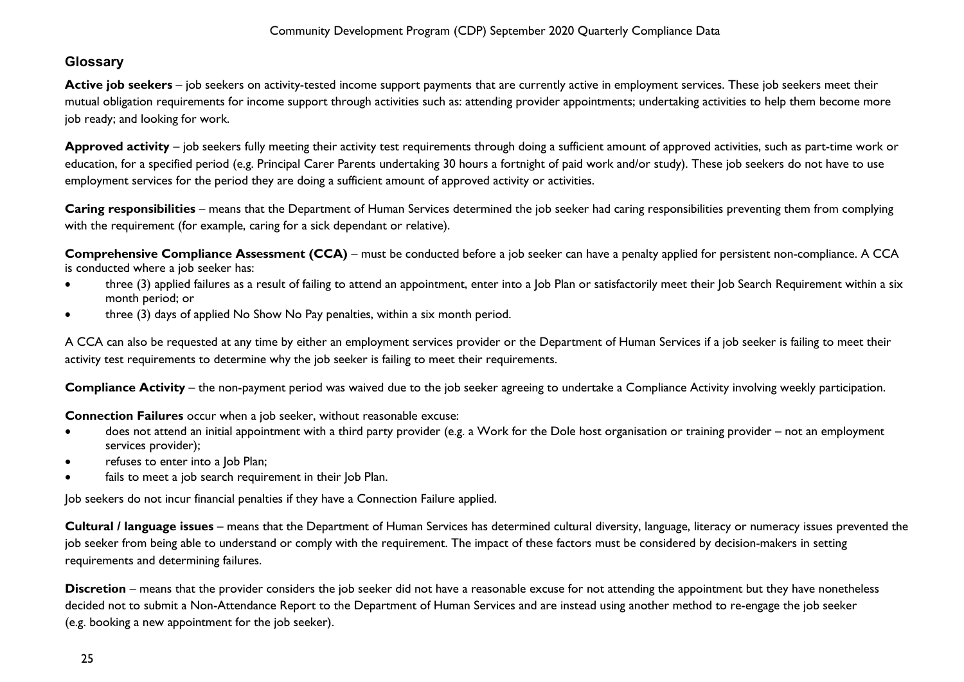# <span id="page-25-0"></span>**Glossary**

Active job seekers – job seekers on activity-tested income support payments that are currently active in employment services. These job seekers meet their mutual obligation requirements for income support through activities such as: attending provider appointments; undertaking activities to help them become more job ready; and looking for work.

**Approved activity** – job seekers fully meeting their activity test requirements through doing a sufficient amount of approved activities, such as part-time work or education, for a specified period (e.g. Principal Carer Parents undertaking 30 hours a fortnight of paid work and/or study). These job seekers do not have to use employment services for the period they are doing a sufficient amount of approved activity or activities.

**Caring responsibilities** – means that the Department of Human Services determined the job seeker had caring responsibilities preventing them from complying with the requirement (for example, caring for a sick dependant or relative).

**Comprehensive Compliance Assessment (CCA)** – must be conducted before a job seeker can have a penalty applied for persistent non-compliance. A CCA is conducted where a job seeker has:

- three (3) applied failures as a result of failing to attend an appointment, enter into a Job Plan or satisfactorily meet their Job Search Requirement within a six month period; or
- three (3) days of applied No Show No Pay penalties, within a six month period.

A CCA can also be requested at any time by either an employment services provider or the Department of Human Services if a job seeker is failing to meet their activity test requirements to determine why the job seeker is failing to meet their requirements.

**Compliance Activity** – the non-payment period was waived due to the job seeker agreeing to undertake a Compliance Activity involving weekly participation.

**Connection Failures** occur when a job seeker, without reasonable excuse:

- does not attend an initial appointment with a third party provider (e.g. a Work for the Dole host organisation or training provider not an employment services provider);
- refuses to enter into a Job Plan;
- fails to meet a job search requirement in their Job Plan.

Job seekers do not incur financial penalties if they have a Connection Failure applied.

**Cultural / language issues** – means that the Department of Human Services has determined cultural diversity, language, literacy or numeracy issues prevented the job seeker from being able to understand or comply with the requirement. The impact of these factors must be considered by decision-makers in setting requirements and determining failures.

**Discretion** – means that the provider considers the job seeker did not have a reasonable excuse for not attending the appointment but they have nonetheless decided not to submit a Non-Attendance Report to the Department of Human Services and are instead using another method to re-engage the job seeker (e.g. booking a new appointment for the job seeker).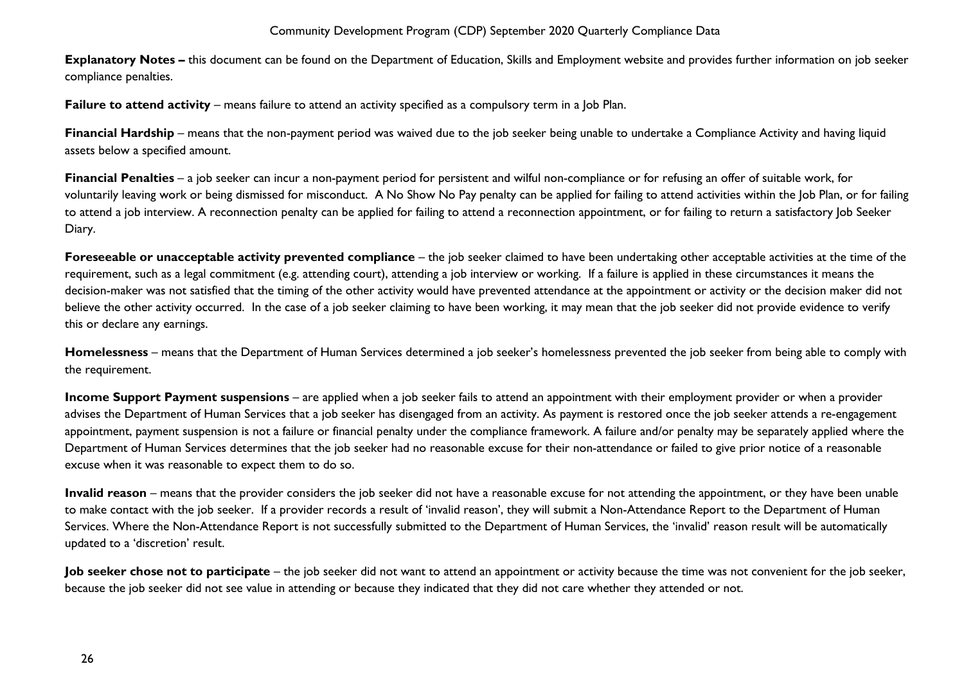**Explanatory Notes –** this document can be found on the Department of Education, Skills and Employment website and provides further information on job seeker compliance penalties.

**Failure to attend activity** – means failure to attend an activity specified as a compulsory term in a Job Plan.

**Financial Hardship** – means that the non-payment period was waived due to the job seeker being unable to undertake a Compliance Activity and having liquid assets below a specified amount.

**Financial Penalties** – a job seeker can incur a non-payment period for persistent and wilful non-compliance or for refusing an offer of suitable work, for voluntarily leaving work or being dismissed for misconduct. A No Show No Pay penalty can be applied for failing to attend activities within the Job Plan, or for failing to attend a job interview. A reconnection penalty can be applied for failing to attend a reconnection appointment, or for failing to return a satisfactory Job Seeker Diary.

**Foreseeable or unacceptable activity prevented compliance** – the job seeker claimed to have been undertaking other acceptable activities at the time of the requirement, such as a legal commitment (e.g. attending court), attending a job interview or working. If a failure is applied in these circumstances it means the decision-maker was not satisfied that the timing of the other activity would have prevented attendance at the appointment or activity or the decision maker did not believe the other activity occurred. In the case of a job seeker claiming to have been working, it may mean that the job seeker did not provide evidence to verify this or declare any earnings.

**Homelessness** – means that the Department of Human Services determined a job seeker's homelessness prevented the job seeker from being able to comply with the requirement.

**Income Support Payment suspensions** – are applied when a job seeker fails to attend an appointment with their employment provider or when a provider advises the Department of Human Services that a job seeker has disengaged from an activity. As payment is restored once the job seeker attends a re-engagement appointment, payment suspension is not a failure or financial penalty under the compliance framework. A failure and/or penalty may be separately applied where the Department of Human Services determines that the job seeker had no reasonable excuse for their non-attendance or failed to give prior notice of a reasonable excuse when it was reasonable to expect them to do so.

**Invalid reason** – means that the provider considers the job seeker did not have a reasonable excuse for not attending the appointment, or they have been unable to make contact with the job seeker. If a provider records a result of 'invalid reason', they will submit a Non-Attendance Report to the Department of Human Services. Where the Non-Attendance Report is not successfully submitted to the Department of Human Services, the 'invalid' reason result will be automatically updated to a 'discretion' result.

**Job seeker chose not to participate** – the job seeker did not want to attend an appointment or activity because the time was not convenient for the job seeker, because the job seeker did not see value in attending or because they indicated that they did not care whether they attended or not.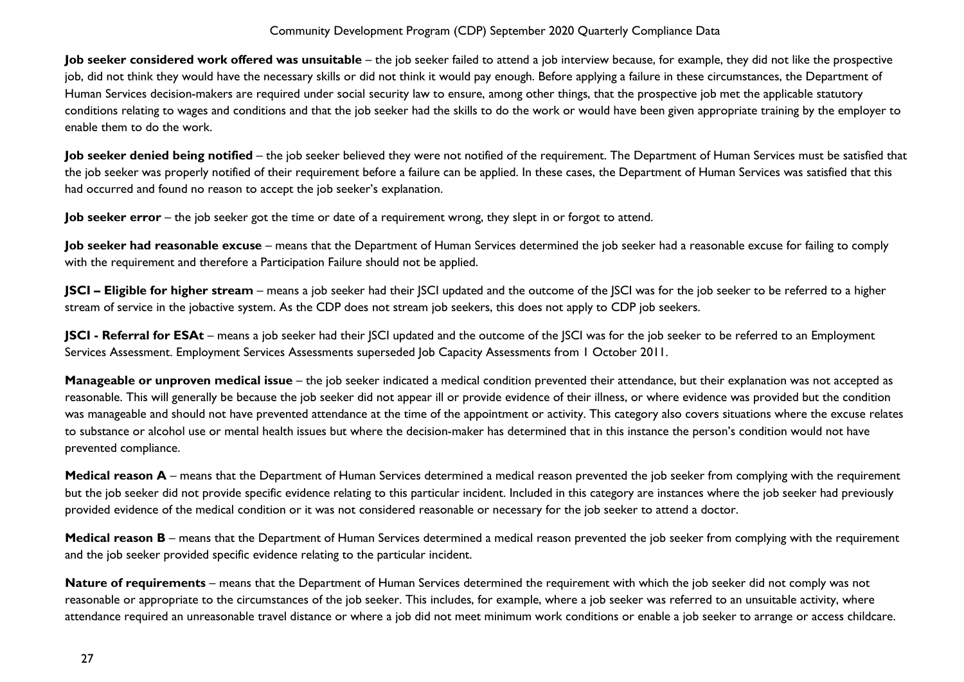**Job seeker considered work offered was unsuitable** – the job seeker failed to attend a job interview because, for example, they did not like the prospective job, did not think they would have the necessary skills or did not think it would pay enough. Before applying a failure in these circumstances, the Department of Human Services decision-makers are required under social security law to ensure, among other things, that the prospective job met the applicable statutory conditions relating to wages and conditions and that the job seeker had the skills to do the work or would have been given appropriate training by the employer to enable them to do the work.

**Job seeker denied being notified** – the job seeker believed they were not notified of the requirement. The Department of Human Services must be satisfied that the job seeker was properly notified of their requirement before a failure can be applied. In these cases, the Department of Human Services was satisfied that this had occurred and found no reason to accept the job seeker's explanation.

**Job seeker error** – the job seeker got the time or date of a requirement wrong, they slept in or forgot to attend.

Job seeker had reasonable excuse - means that the Department of Human Services determined the job seeker had a reasonable excuse for failing to comply with the requirement and therefore a Participation Failure should not be applied.

**JSCI – Eligible for higher stream** – means a job seeker had their JSCI updated and the outcome of the JSCI was for the job seeker to be referred to a higher stream of service in the jobactive system. As the CDP does not stream job seekers, this does not apply to CDP job seekers.

**JSCI - Referral for ESAt** – means a job seeker had their JSCI updated and the outcome of the JSCI was for the job seeker to be referred to an Employment Services Assessment. Employment Services Assessments superseded Job Capacity Assessments from 1 October 2011.

**Manageable or unproven medical issue** – the job seeker indicated a medical condition prevented their attendance, but their explanation was not accepted as reasonable. This will generally be because the job seeker did not appear ill or provide evidence of their illness, or where evidence was provided but the condition was manageable and should not have prevented attendance at the time of the appointment or activity. This category also covers situations where the excuse relates to substance or alcohol use or mental health issues but where the decision-maker has determined that in this instance the person's condition would not have prevented compliance.

**Medical reason A** – means that the Department of Human Services determined a medical reason prevented the job seeker from complying with the requirement but the job seeker did not provide specific evidence relating to this particular incident. Included in this category are instances where the job seeker had previously provided evidence of the medical condition or it was not considered reasonable or necessary for the job seeker to attend a doctor.

**Medical reason B** – means that the Department of Human Services determined a medical reason prevented the job seeker from complying with the requirement and the job seeker provided specific evidence relating to the particular incident.

**Nature of requirements** – means that the Department of Human Services determined the requirement with which the job seeker did not comply was not reasonable or appropriate to the circumstances of the job seeker. This includes, for example, where a job seeker was referred to an unsuitable activity, where attendance required an unreasonable travel distance or where a job did not meet minimum work conditions or enable a job seeker to arrange or access childcare.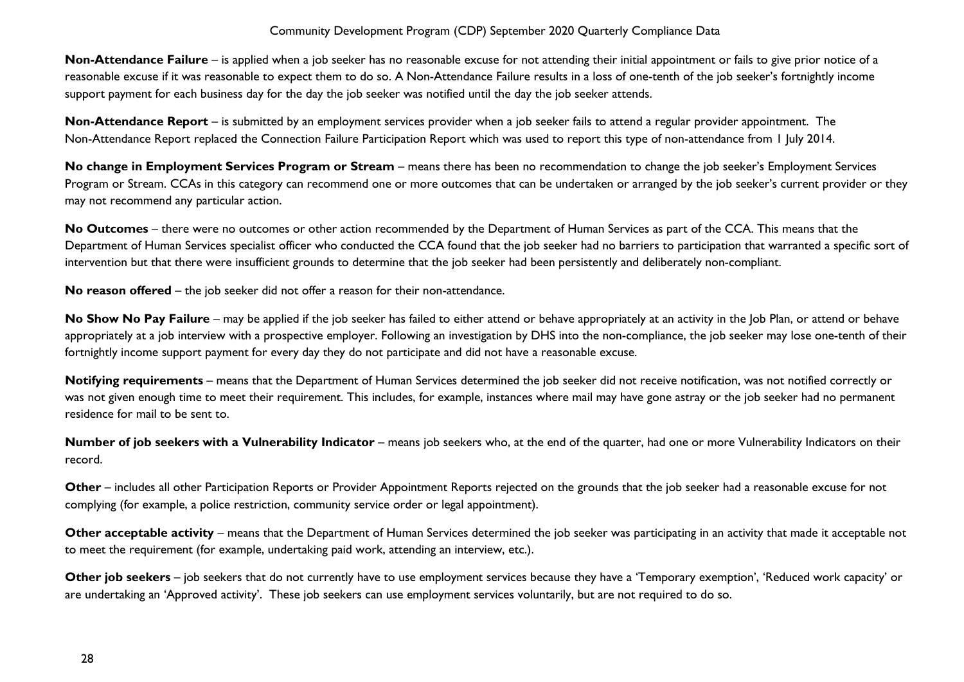**Non-Attendance Failure** – is applied when a job seeker has no reasonable excuse for not attending their initial appointment or fails to give prior notice of a reasonable excuse if it was reasonable to expect them to do so. A Non-Attendance Failure results in a loss of one-tenth of the job seeker's fortnightly income support payment for each business day for the day the job seeker was notified until the day the job seeker attends.

**Non-Attendance Report** – is submitted by an employment services provider when a job seeker fails to attend a regular provider appointment. The Non-Attendance Report replaced the Connection Failure Participation Report which was used to report this type of non-attendance from 1 July 2014.

**No change in Employment Services Program or Stream** – means there has been no recommendation to change the job seeker's Employment Services Program or Stream. CCAs in this category can recommend one or more outcomes that can be undertaken or arranged by the job seeker's current provider or they may not recommend any particular action.

**No Outcomes** – there were no outcomes or other action recommended by the Department of Human Services as part of the CCA. This means that the Department of Human Services specialist officer who conducted the CCA found that the job seeker had no barriers to participation that warranted a specific sort of intervention but that there were insufficient grounds to determine that the job seeker had been persistently and deliberately non-compliant.

**No reason offered** – the job seeker did not offer a reason for their non-attendance.

No Show No Pay Failure – may be applied if the job seeker has failed to either attend or behave appropriately at an activity in the Job Plan, or attend or behave appropriately at a job interview with a prospective employer. Following an investigation by DHS into the non-compliance, the job seeker may lose one-tenth of their fortnightly income support payment for every day they do not participate and did not have a reasonable excuse.

**Notifying requirements** – means that the Department of Human Services determined the job seeker did not receive notification, was not notified correctly or was not given enough time to meet their requirement. This includes, for example, instances where mail may have gone astray or the job seeker had no permanent residence for mail to be sent to.

**Number of job seekers with a Vulnerability Indicator** – means job seekers who, at the end of the quarter, had one or more Vulnerability Indicators on their record.

**Other** – includes all other Participation Reports or Provider Appointment Reports rejected on the grounds that the job seeker had a reasonable excuse for not complying (for example, a police restriction, community service order or legal appointment).

**Other acceptable activity** – means that the Department of Human Services determined the job seeker was participating in an activity that made it acceptable not to meet the requirement (for example, undertaking paid work, attending an interview, etc.).

**Other job seekers** – job seekers that do not currently have to use employment services because they have a 'Temporary exemption', 'Reduced work capacity' or are undertaking an 'Approved activity'. These job seekers can use employment services voluntarily, but are not required to do so.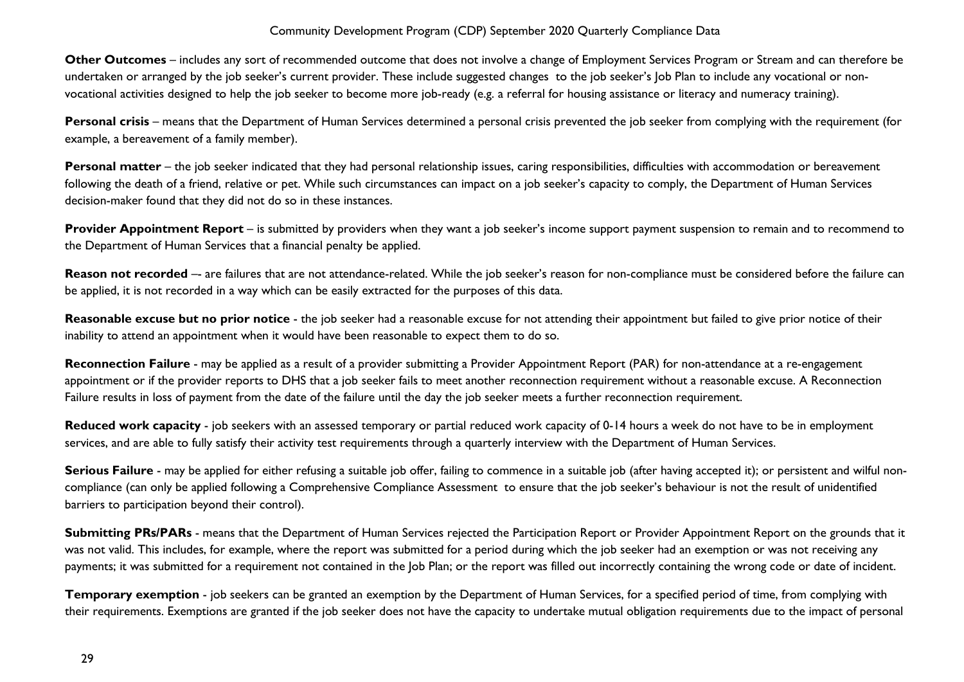**Other Outcomes** – includes any sort of recommended outcome that does not involve a change of Employment Services Program or Stream and can therefore be undertaken or arranged by the job seeker's current provider. These include suggested changes to the job seeker's Job Plan to include any vocational or nonvocational activities designed to help the job seeker to become more job-ready (e.g. a referral for housing assistance or literacy and numeracy training).

**Personal crisis** – means that the Department of Human Services determined a personal crisis prevented the job seeker from complying with the requirement (for example, a bereavement of a family member).

Personal matter – the job seeker indicated that they had personal relationship issues, caring responsibilities, difficulties with accommodation or bereavement following the death of a friend, relative or pet. While such circumstances can impact on a job seeker's capacity to comply, the Department of Human Services decision-maker found that they did not do so in these instances.

**Provider Appointment Report** – is submitted by providers when they want a job seeker's income support payment suspension to remain and to recommend to the Department of Human Services that a financial penalty be applied.

Reason not recorded -- are failures that are not attendance-related. While the job seeker's reason for non-compliance must be considered before the failure can be applied, it is not recorded in a way which can be easily extracted for the purposes of this data.

Reasonable excuse but no prior notice - the job seeker had a reasonable excuse for not attending their appointment but failed to give prior notice of their inability to attend an appointment when it would have been reasonable to expect them to do so.

**Reconnection Failure** - may be applied as a result of a provider submitting a Provider Appointment Report (PAR) for non-attendance at a re-engagement appointment or if the provider reports to DHS that a job seeker fails to meet another reconnection requirement without a reasonable excuse. A Reconnection Failure results in loss of payment from the date of the failure until the day the job seeker meets a further reconnection requirement.

**Reduced work capacity** - job seekers with an assessed temporary or partial reduced work capacity of 0-14 hours a week do not have to be in employment services, and are able to fully satisfy their activity test requirements through a quarterly interview with the Department of Human Services.

**Serious Failure** - may be applied for either refusing a suitable job offer, failing to commence in a suitable job (after having accepted it); or persistent and wilful noncompliance (can only be applied following a Comprehensive Compliance Assessment to ensure that the job seeker's behaviour is not the result of unidentified barriers to participation beyond their control).

**Submitting PRs/PARs** - means that the Department of Human Services rejected the Participation Report or Provider Appointment Report on the grounds that it was not valid. This includes, for example, where the report was submitted for a period during which the job seeker had an exemption or was not receiving any payments; it was submitted for a requirement not contained in the Job Plan; or the report was filled out incorrectly containing the wrong code or date of incident.

**Temporary exemption** - job seekers can be granted an exemption by the Department of Human Services, for a specified period of time, from complying with their requirements. Exemptions are granted if the job seeker does not have the capacity to undertake mutual obligation requirements due to the impact of personal